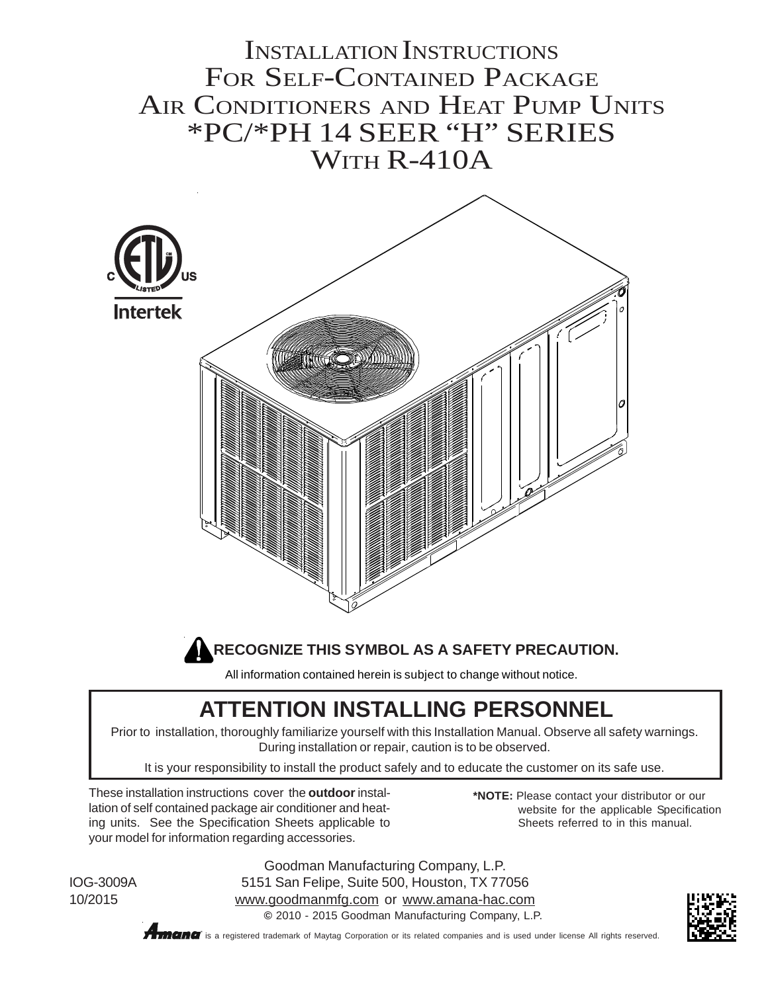

Prior to installation, thoroughly familiarize yourself with this Installation Manual. Observe all safety warnings. During installation or repair, caution is to be observed.

It is your responsibility to install the product safely and to educate the customer on its safe use.

These installation instructions cover the **outdoor** installation of self contained package air conditioner and heating units. See the Specification Sheets applicable to your model for information regarding accessories.

**\*NOTE:** Please contact your distributor or our website for the applicable Specification Sheets referred to in this manual.

Goodman Manufacturing Company, L.P. IOG-3009A 5151 San Felipe, Suite 500, Houston, TX 77056 10/2015 www.goodmanmfg.com or www.amana-hac.com **©** 2010 - 2015 Goodman Manufacturing Company, L.P.



**fimana** is a registered trademark of Maytag Corporation or its related companies and is used under license All rights reserved.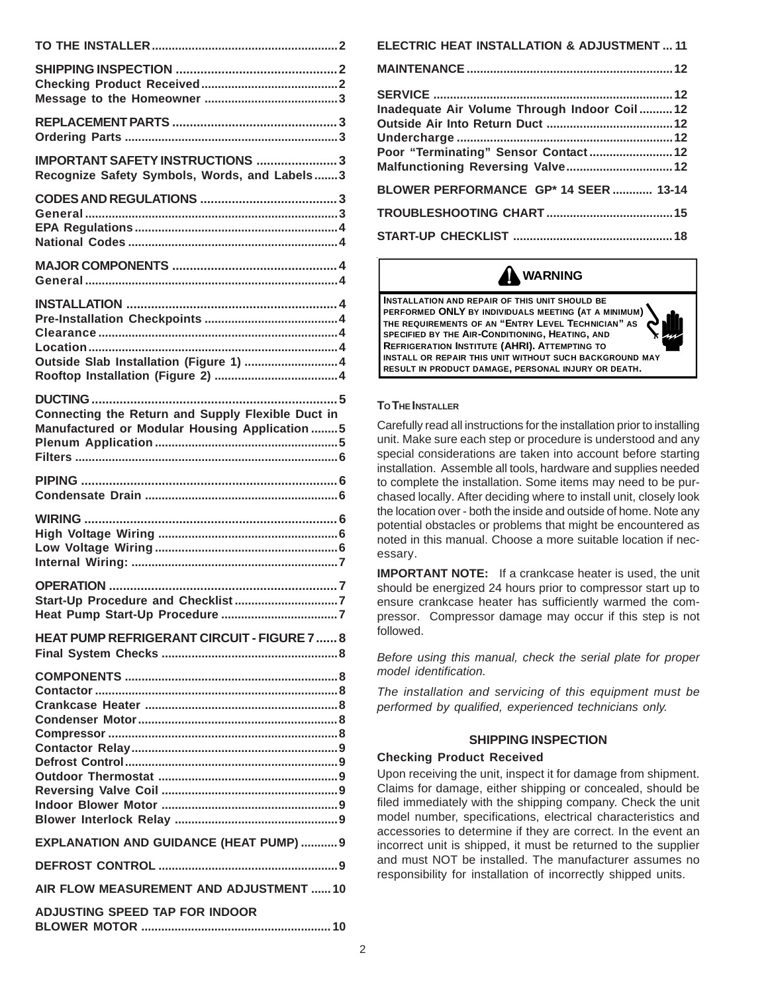| <b>IMPORTANT SAFETY INSTRUCTIONS 3</b><br>Recognize Safety Symbols, Words, and Labels3             |
|----------------------------------------------------------------------------------------------------|
|                                                                                                    |
|                                                                                                    |
| Outside Slab Installation (Figure 1)  4                                                            |
| Connecting the Return and Supply Flexible Duct in<br>Manufactured or Modular Housing Application 5 |
|                                                                                                    |
|                                                                                                    |
|                                                                                                    |
| <b>HEAT PUMP REFRIGERANT CIRCUIT - FIGURE 7  8</b>                                                 |
| <b>EXPLANATION AND GUIDANCE (HEAT PUMP)  9</b>                                                     |
|                                                                                                    |
| AIR FLOW MEASUREMENT AND ADJUSTMENT 10                                                             |
| <b>ADJUSTING SPEED TAP FOR INDOOR</b>                                                              |

**ELECTRIC HEAT INSTALLATION & ADJUSTMENT ... 11**

**MAINTENANCE ..............................................................12**

| Inadequate Air Volume Through Indoor Coil12 |  |
|---------------------------------------------|--|
|                                             |  |
|                                             |  |
| Poor "Terminating" Sensor Contact 12        |  |
| Malfunctioning Reversing Valve 12           |  |
| BLOWER PERFORMANCE GP* 14 SEER  13-14       |  |
|                                             |  |
|                                             |  |



**INSTALLATION AND REPAIR OF THIS UNIT SHOULD BE PERFORMED ONLY BY INDIVIDUALS MEETING (AT A MINIMUM) THE REQUIREMENTS OF AN "ENTRY LEVEL TECHNICIAN" AS SPECIFIED BY THE AIR-CONDITIONING, HEATING, AND REFRIGERATION INSTITUTE (AHRI). ATTEMPTING TO INSTALL OR REPAIR THIS UNIT WITHOUT SUCH BACKGROUND MAY RESULT IN PRODUCT DAMAGE, PERSONAL INJURY OR DEATH.**

# **TO THE INSTALLER**

Carefully read all instructions for the installation prior to installing unit. Make sure each step or procedure is understood and any special considerations are taken into account before starting installation. Assemble all tools, hardware and supplies needed to complete the installation. Some items may need to be purchased locally. After deciding where to install unit, closely look the location over - both the inside and outside of home. Note any potential obstacles or problems that might be encountered as noted in this manual. Choose a more suitable location if necessary.

**IMPORTANT NOTE:** If a crankcase heater is used, the unit should be energized 24 hours prior to compressor start up to ensure crankcase heater has sufficiently warmed the compressor. Compressor damage may occur if this step is not followed.

*Before using this manual, check the serial plate for proper model identification.*

*The installation and servicing of this equipment must be performed by qualified, experienced technicians only.*

# **SHIPPING INSPECTION**

# **Checking Product Received**

Upon receiving the unit, inspect it for damage from shipment. Claims for damage, either shipping or concealed, should be filed immediately with the shipping company. Check the unit model number, specifications, electrical characteristics and accessories to determine if they are correct. In the event an incorrect unit is shipped, it must be returned to the supplier and must NOT be installed. The manufacturer assumes no responsibility for installation of incorrectly shipped units.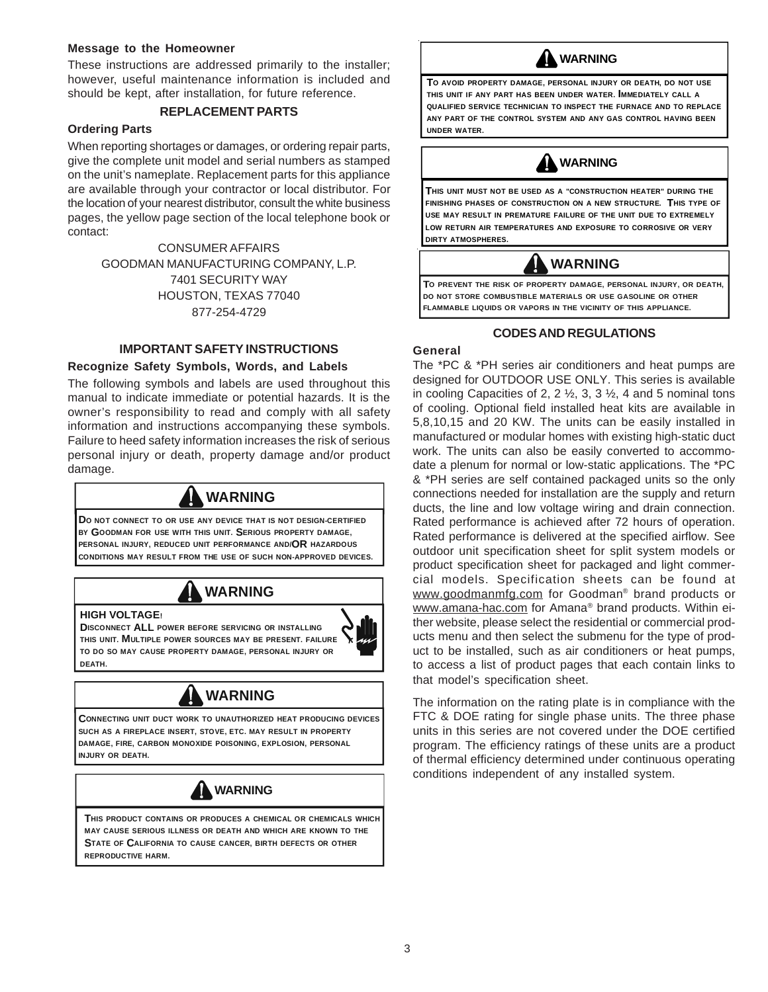#### **Message to the Homeowner**

These instructions are addressed primarily to the installer; however, useful maintenance information is included and should be kept, after installation, for future reference.

#### **REPLACEMENT PARTS**

#### **Ordering Parts**

When reporting shortages or damages, or ordering repair parts, give the complete unit model and serial numbers as stamped on the unit's nameplate. Replacement parts for this appliance are available through your contractor or local distributor. For the location of your nearest distributor, consult the white business pages, the yellow page section of the local telephone book or contact:

CONSUMER AFFAIRS GOODMAN MANUFACTURING COMPANY, L.P. 7401 SECURITY WAY HOUSTON, TEXAS 77040 877-254-4729

### **IMPORTANT SAFETY INSTRUCTIONS**

#### **Recognize Safety Symbols, Words, and Labels**

The following symbols and labels are used throughout this manual to indicate immediate or potential hazards. It is the owner's responsibility to read and comply with all safety information and instructions accompanying these symbols. Failure to heed safety information increases the risk of serious personal injury or death, property damage and/or product damage.



# **WARNING**

#### **HIGH VOLTAGE!**

**DISCONNECT ALL POWER BEFORE SERVICING OR INSTALLING THIS UNIT. MULTIPLE POWER SOURCES MAY BE PRESENT. FAILUR E TO DO SO MAY CAUSE PROPERTY DAMAGE, PERSONAL INJURY OR DEATH.**



**CONNECTING UNIT DUCT WORK TO UNAUTHORIZED HEAT PRODUCING DEVICES SUCH AS A FIREPLACE INSERT, STOVE, ETC. MAY RESULT IN PROPERTY DAMAGE, FIRE, CARBON MONOXIDE POISONING, EXPLOSION, PERSONAL INJURY OR DEATH.**



**THIS PRODUCT CONTAINS OR PRODUCES A CHEMICAL OR CHEMICALS WHICH MAY CAUSE SERIOUS ILLNESS OR DEATH AND WHICH ARE KNOWN TO THE STATE OF CALIFORNIA TO CAUSE CANCER, BIRTH DEFECTS OR OTHER REPRODUCTIVE HARM.**



**TO AVOID PROPERTY DAMAGE, PERSONAL INJURY OR DEATH, DO NOT USE THIS UNIT IF ANY PART HAS BEEN UNDER WATER. IMMEDIATELY CALL A QUALIFIED SERVICE TECHNICIAN TO INSPECT THE FURNACE AND TO REPLACE ANY PART OF THE CONTROL SYSTEM AND ANY GAS CONTROL HAVING BEEN UNDER WATER.**



**THIS UNIT MUST NOT BE USED AS A "CONSTRUCTION HEATER" DURING THE FINISHING PHASES OF CONSTRUCTION ON A NEW STRUCTURE. THIS TYPE OF USE MAY RESULT IN PREMATURE FAILURE OF THE UNIT DUE TO EXTREMELY LOW RETURN AIR TEMPERATURES AND EXPOSURE TO CORROSIVE OR VERY DIRTY ATMOSPHERES.**



**TO PREVENT THE RISK OF PROPERTY DAMAGE, PERSONAL INJURY, OR DEATH, DO NOT STORE COMBUSTIBLE MATERIALS OR USE GASOLINE OR OTHER FLAMMABLE LIQUIDS OR VAPORS IN THE VICINITY OF THIS APPLIANCE.**

# **CODES AND REGULATIONS**

# **General**

The \*PC & \*PH series air conditioners and heat pumps are designed for OUTDOOR USE ONLY. This series is available in cooling Capacities of 2, 2 ½, 3, 3 ½, 4 and 5 nominal tons of cooling. Optional field installed heat kits are available in 5,8,10,15 and 20 KW. The units can be easily installed in manufactured or modular homes with existing high-static duct work. The units can also be easily converted to accommodate a plenum for normal or low-static applications. The \*PC & \*PH series are self contained packaged units so the only connections needed for installation are the supply and return ducts, the line and low voltage wiring and drain connection. Rated performance is achieved after 72 hours of operation. Rated performance is delivered at the specified airflow. See outdoor unit specification sheet for split system models or product specification sheet for packaged and light commercial models. Specification sheets can be found at www.goodmanmfg.com for Goodman® brand products or www.amana-hac.com for Amana® brand products. Within either website, please select the residential or commercial products menu and then select the submenu for the type of product to be installed, such as air conditioners or heat pumps, to access a list of product pages that each contain links to that model's specification sheet.

The information on the rating plate is in compliance with the FTC & DOE rating for single phase units. The three phase units in this series are not covered under the DOE certified program. The efficiency ratings of these units are a product of thermal efficiency determined under continuous operating conditions independent of any installed system.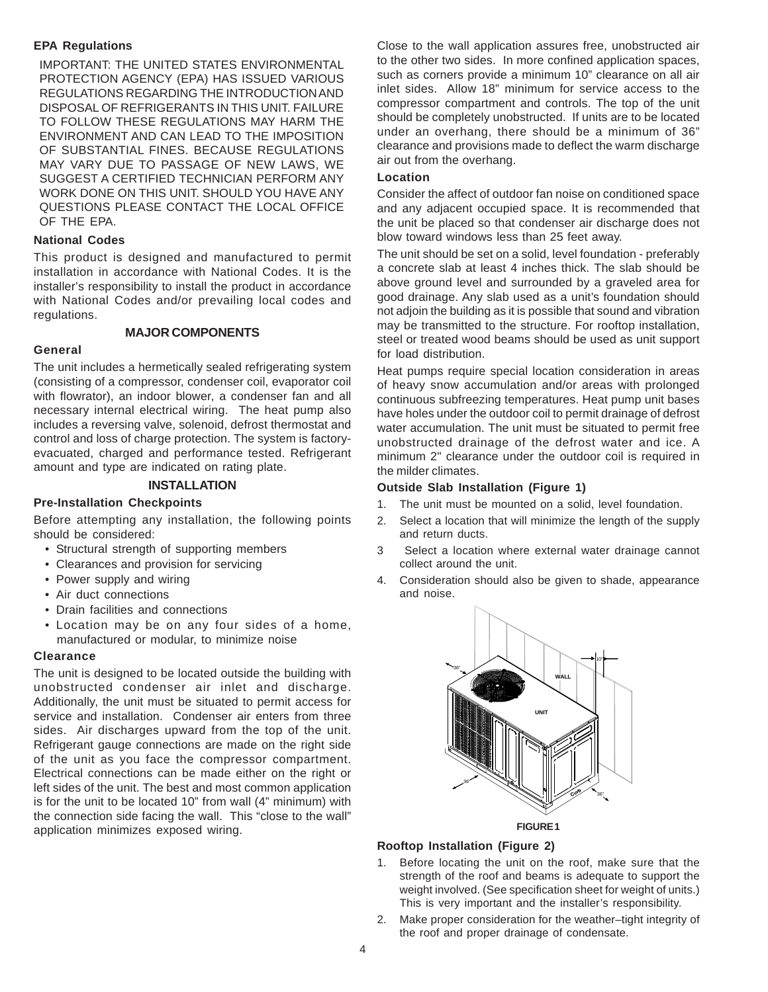### **EPA Regulations**

IMPORTANT: THE UNITED STATES ENVIRONMENTAL PROTECTION AGENCY (EPA) HAS ISSUED VARIOUS REGULATIONS REGARDING THE INTRODUCTION AND DISPOSAL OF REFRIGERANTS IN THIS UNIT. FAILURE TO FOLLOW THESE REGULATIONS MAY HARM THE ENVIRONMENT AND CAN LEAD TO THE IMPOSITION OF SUBSTANTIAL FINES. BECAUSE REGULATIONS MAY VARY DUE TO PASSAGE OF NEW LAWS, WE SUGGEST A CERTIFIED TECHNICIAN PERFORM ANY WORK DONE ON THIS UNIT. SHOULD YOU HAVE ANY QUESTIONS PLEASE CONTACT THE LOCAL OFFICE OF THE EPA.

### **National Codes**

This product is designed and manufactured to permit installation in accordance with National Codes. It is the installer's responsibility to install the product in accordance with National Codes and/or prevailing local codes and regulations.

#### **General**

# **MAJOR COMPONENTS**

The unit includes a hermetically sealed refrigerating system (consisting of a compressor, condenser coil, evaporator coil with flowrator), an indoor blower, a condenser fan and all necessary internal electrical wiring. The heat pump also includes a reversing valve, solenoid, defrost thermostat and control and loss of charge protection. The system is factoryevacuated, charged and performance tested. Refrigerant amount and type are indicated on rating plate.

### **INSTALLATION**

# **Pre-Installation Checkpoints**

Before attempting any installation, the following points should be considered:

- Structural strength of supporting members
- Clearances and provision for servicing
- Power supply and wiring
- Air duct connections
- Drain facilities and connections
- Location may be on any four sides of a home, manufactured or modular, to minimize noise

#### **Clearance**

The unit is designed to be located outside the building with unobstructed condenser air inlet and discharge. Additionally, the unit must be situated to permit access for service and installation. Condenser air enters from three sides. Air discharges upward from the top of the unit. Refrigerant gauge connections are made on the right side of the unit as you face the compressor compartment. Electrical connections can be made either on the right or left sides of the unit. The best and most common application is for the unit to be located 10" from wall (4" minimum) with the connection side facing the wall. This "close to the wall" application minimizes exposed wiring.

Close to the wall application assures free, unobstructed air to the other two sides. In more confined application spaces, such as corners provide a minimum 10" clearance on all air inlet sides. Allow 18" minimum for service access to the compressor compartment and controls. The top of the unit should be completely unobstructed. If units are to be located under an overhang, there should be a minimum of 36" clearance and provisions made to deflect the warm discharge air out from the overhang.

#### **Location**

Consider the affect of outdoor fan noise on conditioned space and any adjacent occupied space. It is recommended that the unit be placed so that condenser air discharge does not blow toward windows less than 25 feet away.

The unit should be set on a solid, level foundation - preferably a concrete slab at least 4 inches thick. The slab should be above ground level and surrounded by a graveled area for good drainage. Any slab used as a unit's foundation should not adjoin the building as it is possible that sound and vibration may be transmitted to the structure. For rooftop installation, steel or treated wood beams should be used as unit support for load distribution.

Heat pumps require special location consideration in areas of heavy snow accumulation and/or areas with prolonged continuous subfreezing temperatures. Heat pump unit bases have holes under the outdoor coil to permit drainage of defrost water accumulation. The unit must be situated to permit free unobstructed drainage of the defrost water and ice. A minimum 2" clearance under the outdoor coil is required in the milder climates.

# **Outside Slab Installation (Figure 1)**

- 1. The unit must be mounted on a solid, level foundation.
- 2. Select a location that will minimize the length of the supply and return ducts.
- 3 Select a location where external water drainage cannot collect around the unit.
- 4. Consideration should also be given to shade, appearance and noise.



# **Rooftop Installation (Figure 2)**

- 1. Before locating the unit on the roof, make sure that the strength of the roof and beams is adequate to support the weight involved. (See specification sheet for weight of units.) This is very important and the installer's responsibility.
- 2. Make proper consideration for the weather–tight integrity of the roof and proper drainage of condensate.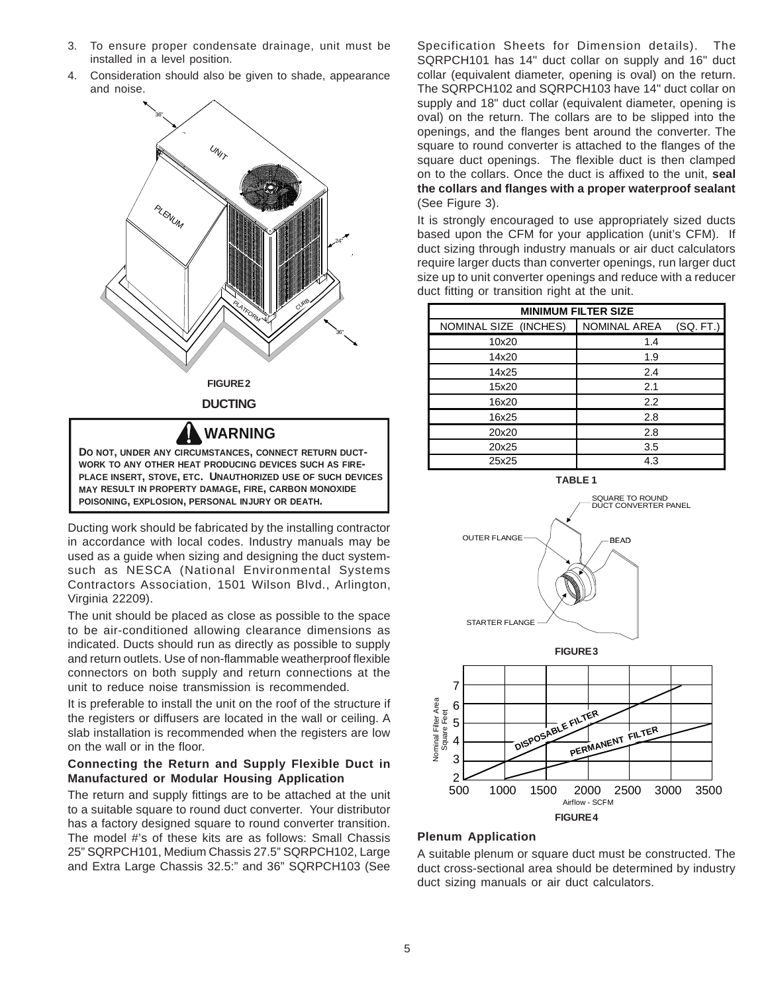- 3. To ensure proper condensate drainage, unit must be installed in a level position.
- 4. Consideration should also be given to shade, appearance and noise.



Ducting work should be fabricated by the installing contractor in accordance with local codes. Industry manuals may be used as a guide when sizing and designing the duct systemsuch as NESCA (National Environmental Systems Contractors Association, 1501 Wilson Blvd., Arlington, Virginia 22209).

The unit should be placed as close as possible to the space to be air-conditioned allowing clearance dimensions as indicated. Ducts should run as directly as possible to supply and return outlets. Use of non-flammable weatherproof flexible connectors on both supply and return connections at the unit to reduce noise transmission is recommended.

It is preferable to install the unit on the roof of the structure if the registers or diffusers are located in the wall or ceiling. A slab installation is recommended when the registers are low on the wall or in the floor.

### **Connecting the Return and Supply Flexible Duct in Manufactured or Modular Housing Application**

The return and supply fittings are to be attached at the unit to a suitable square to round duct converter. Your distributor has a factory designed square to round converter transition. The model #'s of these kits are as follows: Small Chassis 25" SQRPCH101, Medium Chassis 27.5" SQRPCH102, Large and Extra Large Chassis 32.5:" and 36" SQRPCH103 (See

Specification Sheets for Dimension details). The SQRPCH101 has 14" duct collar on supply and 16" duct collar (equivalent diameter, opening is oval) on the return. The SQRPCH102 and SQRPCH103 have 14" duct collar on supply and 18" duct collar (equivalent diameter, opening is oval) on the return. The collars are to be slipped into the openings, and the flanges bent around the converter. The square to round converter is attached to the flanges of the square duct openings. The flexible duct is then clamped on to the collars. Once the duct is affixed to the unit, **seal the collars and flanges with a proper waterproof sealant** (See Figure 3).

It is strongly encouraged to use appropriately sized ducts based upon the CFM for your application (unit's CFM). If duct sizing through industry manuals or air duct calculators require larger ducts than converter openings, run larger duct size up to unit converter openings and reduce with a reducer duct fitting or transition right at the unit.

| <b>MINIMUM FILTER SIZE</b> |              |           |  |  |  |  |  |  |  |
|----------------------------|--------------|-----------|--|--|--|--|--|--|--|
| NOMINAL SIZE (INCHES)      | NOMINAL AREA | (SQ. FT.) |  |  |  |  |  |  |  |
| 10x20                      | 1.4          |           |  |  |  |  |  |  |  |
| 14x20                      | 1.9          |           |  |  |  |  |  |  |  |
| 14x25                      | 2.4          |           |  |  |  |  |  |  |  |
| 15x20                      | 2.1          |           |  |  |  |  |  |  |  |
| 16x20                      | 2.2          |           |  |  |  |  |  |  |  |
| 16x25                      | 2.8          |           |  |  |  |  |  |  |  |
| 20x20                      | 2.8          |           |  |  |  |  |  |  |  |
| 20x25                      | 3.5          |           |  |  |  |  |  |  |  |
| 25x25                      | 4.3          |           |  |  |  |  |  |  |  |





### **Plenum Application**

A suitable plenum or square duct must be constructed. The duct cross-sectional area should be determined by industry duct sizing manuals or air duct calculators.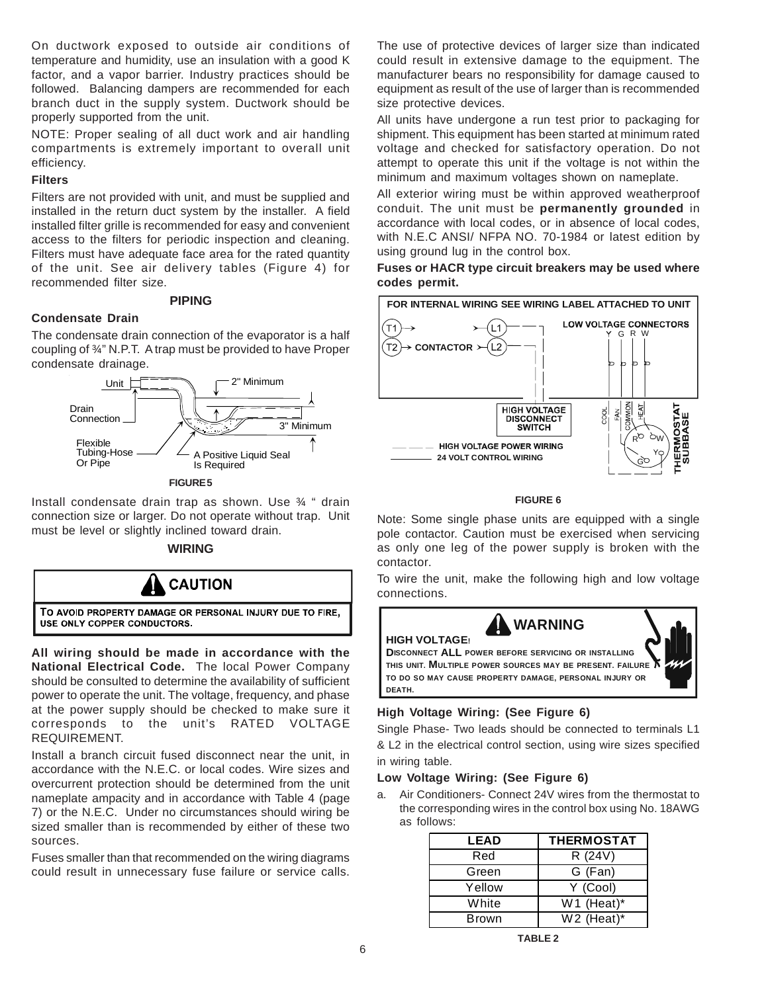On ductwork exposed to outside air conditions of temperature and humidity, use an insulation with a good K factor, and a vapor barrier. Industry practices should be followed. Balancing dampers are recommended for each branch duct in the supply system. Ductwork should be properly supported from the unit.

NOTE: Proper sealing of all duct work and air handling compartments is extremely important to overall unit efficiency.

# **Filters**

Filters are not provided with unit, and must be supplied and installed in the return duct system by the installer. A field installed filter grille is recommended for easy and convenient access to the filters for periodic inspection and cleaning. Filters must have adequate face area for the rated quantity of the unit. See air delivery tables (Figure 4) for recommended filter size.

#### **PIPING**

#### **Condensate Drain**

The condensate drain connection of the evaporator is a half coupling of ¾" N.P.T. A trap must be provided to have Proper condensate drainage.



Install condensate drain trap as shown. Use ¾ " drain connection size or larger. Do not operate without trap. Unit must be level or slightly inclined toward drain.

#### **WIRING**



**All wiring should be made in accordance with the National Electrical Code.** The local Power Company should be consulted to determine the availability of sufficient power to operate the unit. The voltage, frequency, and phase at the power supply should be checked to make sure it corresponds to the unit's RATED VOLTAGE REQUIREMENT.

Install a branch circuit fused disconnect near the unit, in accordance with the N.E.C. or local codes. Wire sizes and overcurrent protection should be determined from the unit nameplate ampacity and in accordance with Table 4 (page 7) or the N.E.C. Under no circumstances should wiring be sized smaller than is recommended by either of these two sources.

Fuses smaller than that recommended on the wiring diagrams could result in unnecessary fuse failure or service calls. The use of protective devices of larger size than indicated could result in extensive damage to the equipment. The manufacturer bears no responsibility for damage caused to equipment as result of the use of larger than is recommended size protective devices.

All units have undergone a run test prior to packaging for shipment. This equipment has been started at minimum rated voltage and checked for satisfactory operation. Do not attempt to operate this unit if the voltage is not within the minimum and maximum voltages shown on nameplate.

All exterior wiring must be within approved weatherproof conduit. The unit must be **permanently grounded** in accordance with local codes, or in absence of local codes, with N.E.C ANSI/ NFPA NO. 70-1984 or latest edition by using ground lug in the control box.

#### **Fuses or HACR type circuit breakers may be used where codes permit.**



#### **FIGURE 6**

Note: Some single phase units are equipped with a single pole contactor. Caution must be exercised when servicing as only one leg of the power supply is broken with the contactor.

To wire the unit, make the following high and low voltage connections.



#### **High Voltage Wiring: (See Figure 6)**

Single Phase- Two leads should be connected to terminals L1 & L2 in the electrical control section, using wire sizes specified in wiring table.

#### **Low Voltage Wiring: (See Figure 6)**

a. Air Conditioners- Connect 24V wires from the thermostat to the corresponding wires in the control box using No. 18AWG as follows:

| <b>LEAD</b>  | <b>THERMOSTAT</b> |
|--------------|-------------------|
| Red          | R (24V)           |
| Green        | G (Fan)           |
| Yellow       | Y (Cool)          |
| White        | W1 (Heat)*        |
| <b>Brown</b> | W2 (Heat)*        |

**DEATH.**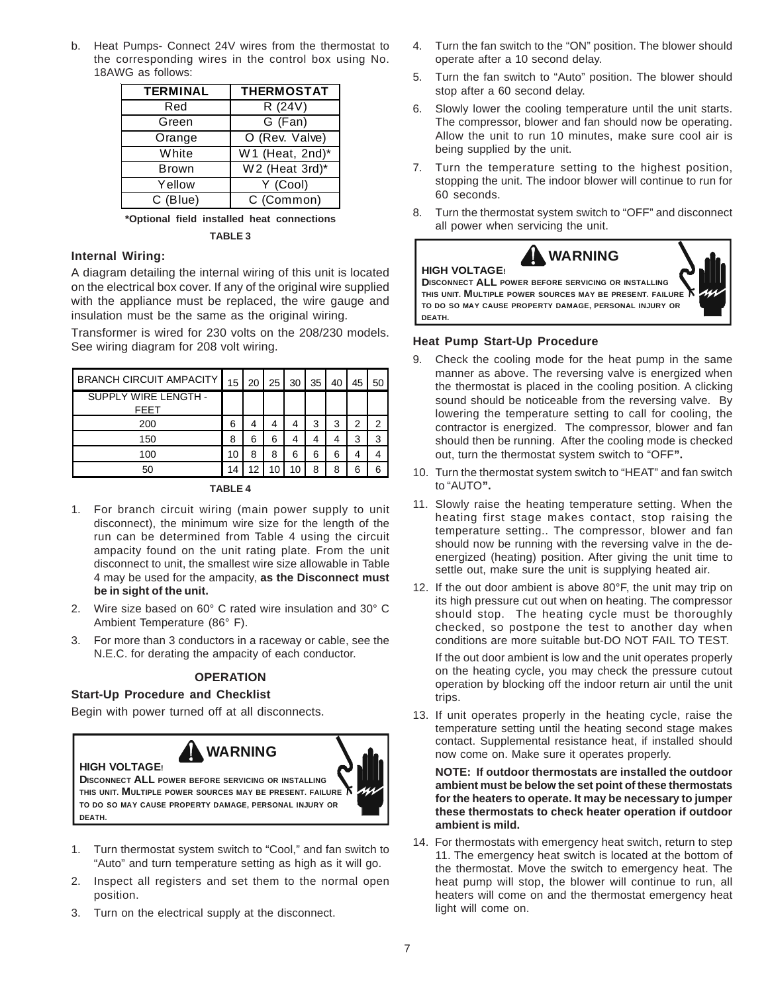b. Heat Pumps- Connect 24V wires from the thermostat to the corresponding wires in the control box using No. 18AWG as follows:

| <b>TERMINAL</b> | <b>THERMOSTAT</b>                       |
|-----------------|-----------------------------------------|
| Red             | R (24V)                                 |
| Green           | G (Fan)                                 |
| Orange          | O (Rev. Valve)                          |
| White           | $\overline{W1}$ (Heat, 2nd)*            |
| <b>Brown</b>    | $\overline{W2}$ (Heat 3rd) <sup>*</sup> |
| Yellow          | Y (Cool)                                |
| C (Blue)        | C (Common)                              |

**\*Optional field installed heat connections TABLE 3**

### **Internal Wiring:**

A diagram detailing the internal wiring of this unit is located on the electrical box cover. If any of the original wire supplied with the appliance must be replaced, the wire gauge and insulation must be the same as the original wiring.

Transformer is wired for 230 volts on the 208/230 models. See wiring diagram for 208 volt wiring.

| <b>BRANCH CIRCUIT AMPACITY</b> | 15 | 20 |   | 25 30 | 35 | 40 | 45 | 50 |
|--------------------------------|----|----|---|-------|----|----|----|----|
| SUPPLY WIRE LENGTH -<br>FFFT   |    |    |   |       |    |    |    |    |
| 200                            | 6  | 4  | 4 | 4     | 3  | 3  | 2  | 2  |
| 150                            | 8  | 6  | 6 | 4     | 4  | 4  | 3  | 3  |
| 100                            | 10 | 8  | 8 | 6     | 6  | 6  | 4  |    |
| 50                             | 14 | 12 |   |       | 8  | 8  | 6  | 6  |

**TABLE 4**

- 1. For branch circuit wiring (main power supply to unit disconnect), the minimum wire size for the length of the run can be determined from Table 4 using the circuit ampacity found on the unit rating plate. From the unit disconnect to unit, the smallest wire size allowable in Table 4 may be used for the ampacity, **as the Disconnect must be in sight of the unit.**
- 2. Wire size based on 60° C rated wire insulation and 30° C Ambient Temperature (86° F).
- 3. For more than 3 conductors in a raceway or cable, see the N.E.C. for derating the ampacity of each conductor.

### **OPERATION**

#### **Start-Up Procedure and Checklist**

Begin with power turned off at all disconnects.



- 1. Turn thermostat system switch to "Cool," and fan switch to "Auto" and turn temperature setting as high as it will go.
- 2. Inspect all registers and set them to the normal open position.
- 3. Turn on the electrical supply at the disconnect.
- 4. Turn the fan switch to the "ON" position. The blower should operate after a 10 second delay.
- 5. Turn the fan switch to "Auto" position. The blower should stop after a 60 second delay.
- 6. Slowly lower the cooling temperature until the unit starts. The compressor, blower and fan should now be operating. Allow the unit to run 10 minutes, make sure cool air is being supplied by the unit.
- 7. Turn the temperature setting to the highest position, stopping the unit. The indoor blower will continue to run for 60 seconds.
- 8. Turn the thermostat system switch to "OFF" and disconnect all power when servicing the unit.



### **Heat Pump Start-Up Procedure**

- 9. Check the cooling mode for the heat pump in the same manner as above. The reversing valve is energized when the thermostat is placed in the cooling position. A clicking sound should be noticeable from the reversing valve. By lowering the temperature setting to call for cooling, the contractor is energized. The compressor, blower and fan should then be running. After the cooling mode is checked out, turn the thermostat system switch to "OFF**".**
- 10. Turn the thermostat system switch to "HEAT" and fan switch to "AUTO**".**
- 11. Slowly raise the heating temperature setting. When the heating first stage makes contact, stop raising the temperature setting.. The compressor, blower and fan should now be running with the reversing valve in the deenergized (heating) position. After giving the unit time to settle out, make sure the unit is supplying heated air.
- 12. If the out door ambient is above 80°F, the unit may trip on its high pressure cut out when on heating. The compressor should stop. The heating cycle must be thoroughly checked, so postpone the test to another day when conditions are more suitable but-DO NOT FAIL TO TEST.

If the out door ambient is low and the unit operates properly on the heating cycle, you may check the pressure cutout operation by blocking off the indoor return air until the unit trips.

13. If unit operates properly in the heating cycle, raise the temperature setting until the heating second stage makes contact. Supplemental resistance heat, if installed should now come on. Make sure it operates properly.

**NOTE: If outdoor thermostats are installed the outdoor ambient must be below the set point of these thermostats for the heaters to operate. It may be necessary to jumper these thermostats to check heater operation if outdoor ambient is mild.**

14. For thermostats with emergency heat switch, return to step 11. The emergency heat switch is located at the bottom of the thermostat. Move the switch to emergency heat. The heat pump will stop, the blower will continue to run, all heaters will come on and the thermostat emergency heat light will come on.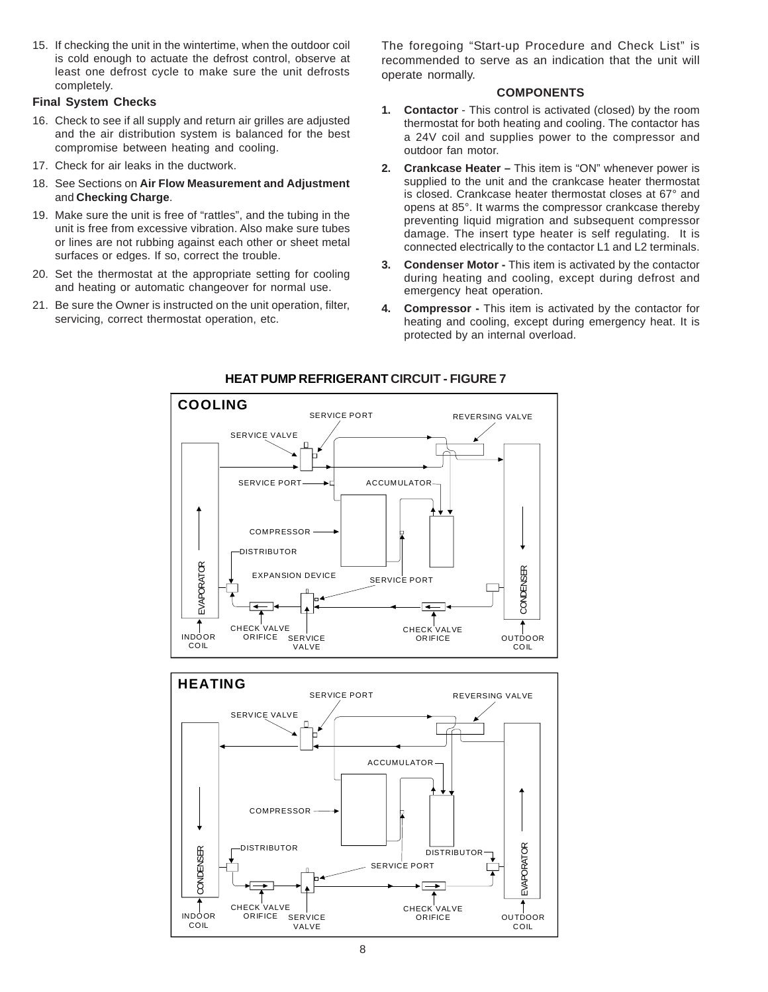15. If checking the unit in the wintertime, when the outdoor coil is cold enough to actuate the defrost control, observe at least one defrost cycle to make sure the unit defrosts completely.

#### **Final System Checks**

- 16. Check to see if all supply and return air grilles are adjusted and the air distribution system is balanced for the best compromise between heating and cooling.
- 17. Check for air leaks in the ductwork.
- 18. See Sections on **Air Flow Measurement and Adjustment** and **Checking Charge**.
- 19. Make sure the unit is free of "rattles", and the tubing in the unit is free from excessive vibration. Also make sure tubes or lines are not rubbing against each other or sheet metal surfaces or edges. If so, correct the trouble.
- 20. Set the thermostat at the appropriate setting for cooling and heating or automatic changeover for normal use.
- 21. Be sure the Owner is instructed on the unit operation, filter, servicing, correct thermostat operation, etc.

The foregoing "Start-up Procedure and Check List" is recommended to serve as an indication that the unit will operate normally.

# **COMPONENTS**

- **1. Contactor** This control is activated (closed) by the room thermostat for both heating and cooling. The contactor has a 24V coil and supplies power to the compressor and outdoor fan motor.
- **2. Crankcase Heater** This item is "ON" whenever power is supplied to the unit and the crankcase heater thermostat is closed. Crankcase heater thermostat closes at 67° and opens at 85°. It warms the compressor crankcase thereby preventing liquid migration and subsequent compressor damage. The insert type heater is self regulating. It is connected electrically to the contactor L1 and L2 terminals.
- **3. Condenser Motor** This item is activated by the contactor during heating and cooling, except during defrost and emergency heat operation.
- **4. Compressor** This item is activated by the contactor for heating and cooling, except during emergency heat. It is protected by an internal overload.



# **HEAT PUMP REFRIGERANT CIRCUIT - FIGURE 7**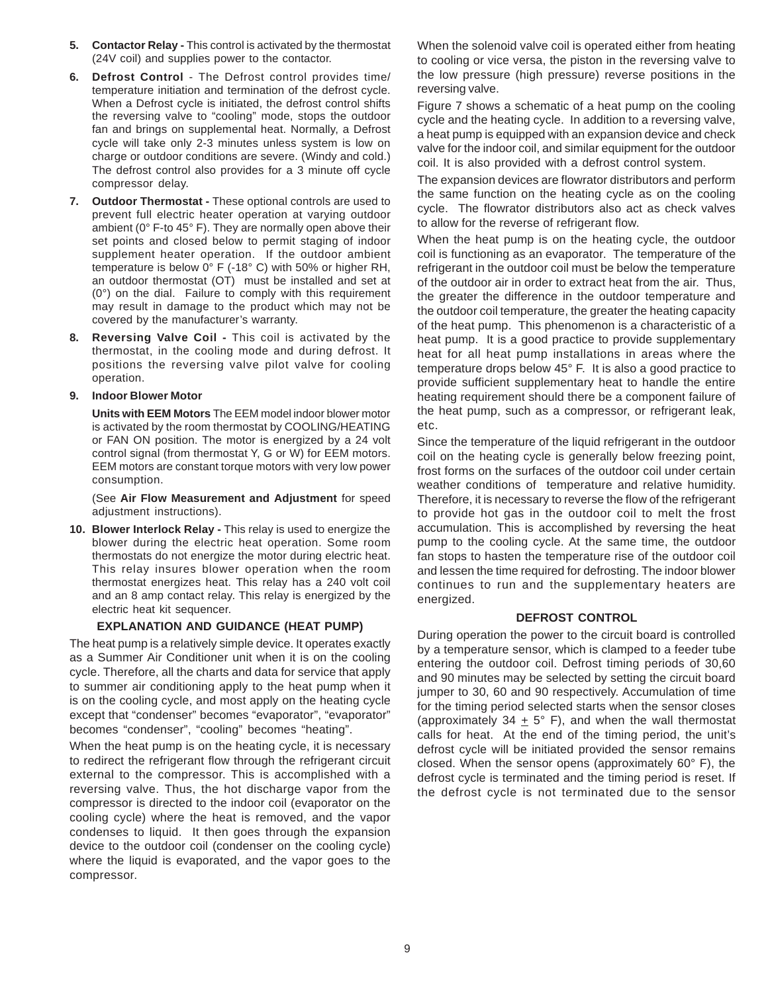- **5. Contactor Relay -** This control is activated by the thermostat (24V coil) and supplies power to the contactor.
- **6. Defrost Control** The Defrost control provides time/ temperature initiation and termination of the defrost cycle. When a Defrost cycle is initiated, the defrost control shifts the reversing valve to "cooling" mode, stops the outdoor fan and brings on supplemental heat. Normally, a Defrost cycle will take only 2-3 minutes unless system is low on charge or outdoor conditions are severe. (Windy and cold.) The defrost control also provides for a 3 minute off cycle compressor delay.
- **7. Outdoor Thermostat -** These optional controls are used to prevent full electric heater operation at varying outdoor ambient (0° F-to 45° F). They are normally open above their set points and closed below to permit staging of indoor supplement heater operation. If the outdoor ambient temperature is below 0° F (-18° C) with 50% or higher RH, an outdoor thermostat (OT) must be installed and set at (0°) on the dial. Failure to comply with this requirement may result in damage to the product which may not be covered by the manufacturer's warranty.
- **8. Reversing Valve Coil -** This coil is activated by the thermostat, in the cooling mode and during defrost. It positions the reversing valve pilot valve for cooling operation.

#### **9. Indoor Blower Motor**

**Units with EEM Motors** The EEM model indoor blower motor is activated by the room thermostat by COOLING/HEATING or FAN ON position. The motor is energized by a 24 volt control signal (from thermostat Y, G or W) for EEM motors. EEM motors are constant torque motors with very low power consumption.

(See **Air Flow Measurement and Adjustment** for speed adjustment instructions).

**10. Blower Interlock Relay -** This relay is used to energize the blower during the electric heat operation. Some room thermostats do not energize the motor during electric heat. This relay insures blower operation when the room thermostat energizes heat. This relay has a 240 volt coil and an 8 amp contact relay. This relay is energized by the electric heat kit sequencer.

### **EXPLANATION AND GUIDANCE (HEAT PUMP)**

The heat pump is a relatively simple device. It operates exactly as a Summer Air Conditioner unit when it is on the cooling cycle. Therefore, all the charts and data for service that apply to summer air conditioning apply to the heat pump when it is on the cooling cycle, and most apply on the heating cycle except that "condenser" becomes "evaporator", "evaporator" becomes "condenser", "cooling" becomes "heating".

When the heat pump is on the heating cycle, it is necessary to redirect the refrigerant flow through the refrigerant circuit external to the compressor. This is accomplished with a reversing valve. Thus, the hot discharge vapor from the compressor is directed to the indoor coil (evaporator on the cooling cycle) where the heat is removed, and the vapor condenses to liquid. It then goes through the expansion device to the outdoor coil (condenser on the cooling cycle) where the liquid is evaporated, and the vapor goes to the compressor.

When the solenoid valve coil is operated either from heating to cooling or vice versa, the piston in the reversing valve to the low pressure (high pressure) reverse positions in the reversing valve.

Figure 7 shows a schematic of a heat pump on the cooling cycle and the heating cycle. In addition to a reversing valve, a heat pump is equipped with an expansion device and check valve for the indoor coil, and similar equipment for the outdoor coil. It is also provided with a defrost control system.

The expansion devices are flowrator distributors and perform the same function on the heating cycle as on the cooling cycle. The flowrator distributors also act as check valves to allow for the reverse of refrigerant flow.

When the heat pump is on the heating cycle, the outdoor coil is functioning as an evaporator. The temperature of the refrigerant in the outdoor coil must be below the temperature of the outdoor air in order to extract heat from the air. Thus, the greater the difference in the outdoor temperature and the outdoor coil temperature, the greater the heating capacity of the heat pump. This phenomenon is a characteristic of a heat pump. It is a good practice to provide supplementary heat for all heat pump installations in areas where the temperature drops below 45° F. It is also a good practice to provide sufficient supplementary heat to handle the entire heating requirement should there be a component failure of the heat pump, such as a compressor, or refrigerant leak, etc.

Since the temperature of the liquid refrigerant in the outdoor coil on the heating cycle is generally below freezing point, frost forms on the surfaces of the outdoor coil under certain weather conditions of temperature and relative humidity. Therefore, it is necessary to reverse the flow of the refrigerant to provide hot gas in the outdoor coil to melt the frost accumulation. This is accomplished by reversing the heat pump to the cooling cycle. At the same time, the outdoor fan stops to hasten the temperature rise of the outdoor coil and lessen the time required for defrosting. The indoor blower continues to run and the supplementary heaters are energized.

#### **DEFROST CONTROL**

During operation the power to the circuit board is controlled by a temperature sensor, which is clamped to a feeder tube entering the outdoor coil. Defrost timing periods of 30,60 and 90 minutes may be selected by setting the circuit board jumper to 30, 60 and 90 respectively. Accumulation of time for the timing period selected starts when the sensor closes (approximately 34  $\pm$  5° F), and when the wall thermostat calls for heat. At the end of the timing period, the unit's defrost cycle will be initiated provided the sensor remains closed. When the sensor opens (approximately 60° F), the defrost cycle is terminated and the timing period is reset. If the defrost cycle is not terminated due to the sensor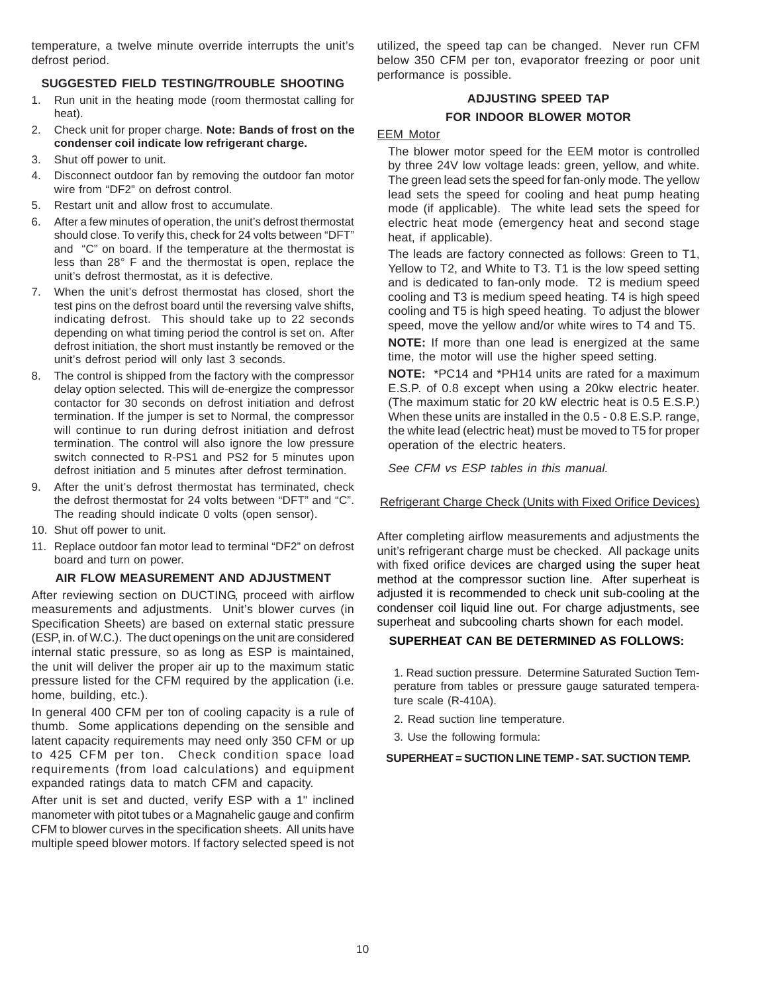temperature, a twelve minute override interrupts the unit's defrost period.

# **SUGGESTED FIELD TESTING/TROUBLE SHOOTING**

- 1. Run unit in the heating mode (room thermostat calling for heat).
- 2. Check unit for proper charge. **Note: Bands of frost on the condenser coil indicate low refrigerant charge.**
- 3. Shut off power to unit.
- 4. Disconnect outdoor fan by removing the outdoor fan motor wire from "DF2" on defrost control.
- 5. Restart unit and allow frost to accumulate.
- 6. After a few minutes of operation, the unit's defrost thermostat should close. To verify this, check for 24 volts between "DFT" and "C" on board. If the temperature at the thermostat is less than 28° F and the thermostat is open, replace the unit's defrost thermostat, as it is defective.
- 7. When the unit's defrost thermostat has closed, short the test pins on the defrost board until the reversing valve shifts, indicating defrost. This should take up to 22 seconds depending on what timing period the control is set on. After defrost initiation, the short must instantly be removed or the unit's defrost period will only last 3 seconds.
- 8. The control is shipped from the factory with the compressor delay option selected. This will de-energize the compressor contactor for 30 seconds on defrost initiation and defrost termination. If the jumper is set to Normal, the compressor will continue to run during defrost initiation and defrost termination. The control will also ignore the low pressure switch connected to R-PS1 and PS2 for 5 minutes upon defrost initiation and 5 minutes after defrost termination.
- 9. After the unit's defrost thermostat has terminated, check the defrost thermostat for 24 volts between "DFT" and "C". The reading should indicate 0 volts (open sensor).
- 10. Shut off power to unit.
- 11. Replace outdoor fan motor lead to terminal "DF2" on defrost board and turn on power.

### **AIR FLOW MEASUREMENT AND ADJUSTMENT**

After reviewing section on DUCTING, proceed with airflow measurements and adjustments. Unit's blower curves (in Specification Sheets) are based on external static pressure (ESP, in. of W.C.). The duct openings on the unit are considered internal static pressure, so as long as ESP is maintained, the unit will deliver the proper air up to the maximum static pressure listed for the CFM required by the application (i.e. home, building, etc.).

In general 400 CFM per ton of cooling capacity is a rule of thumb. Some applications depending on the sensible and latent capacity requirements may need only 350 CFM or up to 425 CFM per ton. Check condition space load requirements (from load calculations) and equipment expanded ratings data to match CFM and capacity.

After unit is set and ducted, verify ESP with a 1" inclined manometer with pitot tubes or a Magnahelic gauge and confirm CFM to blower curves in the specification sheets. All units have multiple speed blower motors. If factory selected speed is not utilized, the speed tap can be changed. Never run CFM below 350 CFM per ton, evaporator freezing or poor unit performance is possible.

# **ADJUSTING SPEED TAP FOR INDOOR BLOWER MOTOR**

#### EEM Motor

The blower motor speed for the EEM motor is controlled by three 24V low voltage leads: green, yellow, and white. The green lead sets the speed for fan-only mode. The yellow lead sets the speed for cooling and heat pump heating mode (if applicable). The white lead sets the speed for electric heat mode (emergency heat and second stage heat, if applicable).

The leads are factory connected as follows: Green to T1, Yellow to T2, and White to T3. T1 is the low speed setting and is dedicated to fan-only mode. T2 is medium speed cooling and T3 is medium speed heating. T4 is high speed cooling and T5 is high speed heating. To adjust the blower speed, move the yellow and/or white wires to T4 and T5.

**NOTE:** If more than one lead is energized at the same time, the motor will use the higher speed setting.

**NOTE:** \*PC14 and \*PH14 units are rated for a maximum E.S.P. of 0.8 except when using a 20kw electric heater. (The maximum static for 20 kW electric heat is 0.5 E.S.P.) When these units are installed in the 0.5 - 0.8 E.S.P. range, the white lead (electric heat) must be moved to T5 for proper operation of the electric heaters.

*See CFM vs ESP tables in this manual.*

### Refrigerant Charge Check (Units with Fixed Orifice Devices)

After completing airflow measurements and adjustments the unit's refrigerant charge must be checked. All package units with fixed orifice devices are charged using the super heat method at the compressor suction line. After superheat is adjusted it is recommended to check unit sub-cooling at the condenser coil liquid line out. For charge adjustments, see superheat and subcooling charts shown for each model.

### **SUPERHEAT CAN BE DETERMINED AS FOLLOWS:**

1. Read suction pressure. Determine Saturated Suction Temperature from tables or pressure gauge saturated temperature scale (R-410A).

- 2. Read suction line temperature.
- 3. Use the following formula:

### **SUPERHEAT = SUCTION LINE TEMP - SAT. SUCTION TEMP.**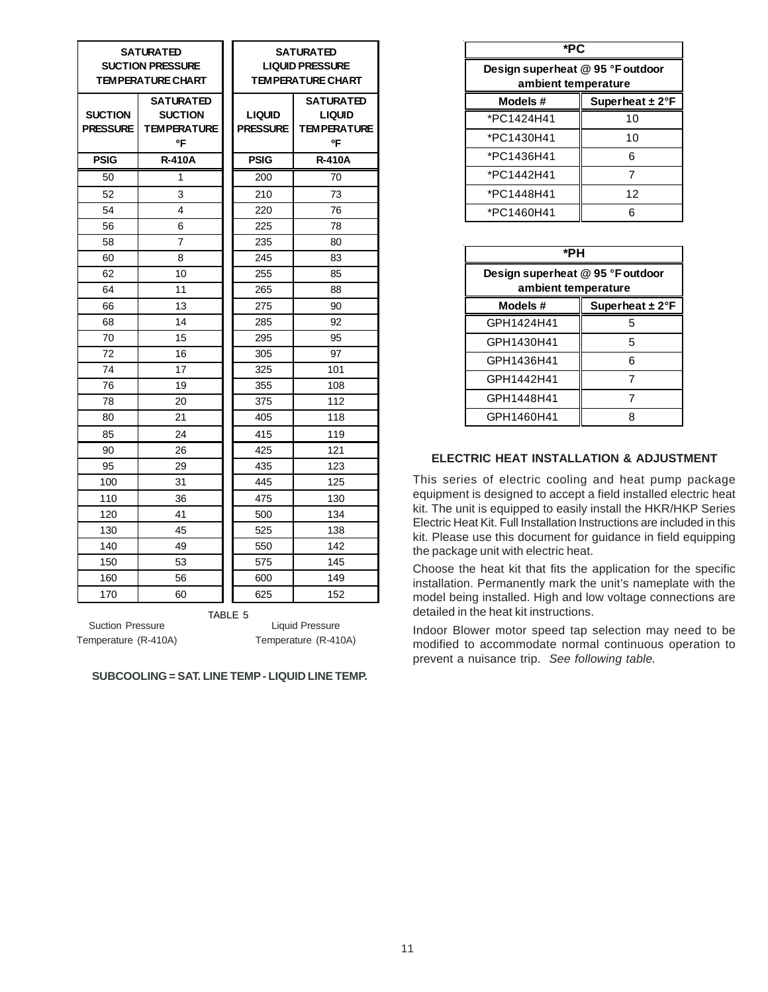|                                   | <b>SATURATED</b><br><b>SUCTION PRESSURE</b><br><b>TEMPERATURE CHART</b> | SATURATED<br><b>LIQUID PRESSURE</b><br><b>TEMPERATURE CHART</b> |                                                              |  |
|-----------------------------------|-------------------------------------------------------------------------|-----------------------------------------------------------------|--------------------------------------------------------------|--|
| <b>SUCTION</b><br><b>PRESSURE</b> | <b>SATURATED</b><br><b>SUCTION</b><br><b>TEMPERATURE</b><br>٥F          | <b>LIQUID</b><br><b>PRESSURE</b>                                | <b>SATURATED</b><br><b>LIQUID</b><br><b>TEMPERATURE</b><br>ᅂ |  |
| <b>PSIG</b>                       | <b>R-410A</b>                                                           | <b>PSIG</b>                                                     | <b>R-410A</b>                                                |  |
| 50                                | 1                                                                       | 200                                                             | 70                                                           |  |
| 52                                | 3                                                                       | 210                                                             | 73                                                           |  |
| 54                                | 4                                                                       | 220                                                             | 76                                                           |  |
| 56                                | 6                                                                       | 225                                                             | 78                                                           |  |
| 58                                | $\overline{7}$                                                          | 235                                                             | 80                                                           |  |
| 60                                | 8                                                                       | 245                                                             | 83                                                           |  |
| 62                                | 10                                                                      | 255                                                             | 85                                                           |  |
| 64                                | 11                                                                      | 265                                                             | 88                                                           |  |
| 66                                | 13                                                                      | 275                                                             | 90                                                           |  |
| 68                                | 14                                                                      | 285                                                             | 92                                                           |  |
| 70                                | 15                                                                      | 295                                                             | 95                                                           |  |
| 72                                | 16                                                                      | 305                                                             | 97                                                           |  |
| 74                                | 17                                                                      | 325                                                             | 101                                                          |  |
| 76                                | 19                                                                      | 355                                                             | 108                                                          |  |
| 78                                | 20                                                                      | 375                                                             | 112                                                          |  |
| 80                                | 21                                                                      | 405                                                             | 118                                                          |  |
| 85                                | 24                                                                      | 415                                                             | 119                                                          |  |
| 90                                | 26                                                                      | 425                                                             | 121                                                          |  |
| 95                                | 29                                                                      | 435                                                             | 123                                                          |  |
| 100                               | 31                                                                      | 445                                                             | 125                                                          |  |
| 110                               | 36                                                                      | 475                                                             | 130                                                          |  |
| 120                               | 41                                                                      | 500                                                             | 134                                                          |  |
| 130                               | 45                                                                      | 525                                                             | 138                                                          |  |
| 140                               | 49                                                                      | 550                                                             | 142                                                          |  |
| 150                               | 53                                                                      | 575                                                             | 145                                                          |  |
| 160                               | 56                                                                      | 600                                                             | 149                                                          |  |
| 170                               | 60                                                                      | 625                                                             | 152                                                          |  |

TABLE 5

Suction Pressure Liquid Pressure Temperature (R-410A) Temperature (R-410A)

**SUBCOOLING = SAT. LINE TEMP - LIQUID LINE TEMP.**

| *PC                              |                                  |  |  |  |  |  |  |
|----------------------------------|----------------------------------|--|--|--|--|--|--|
| Design superheat @ 95 °F outdoor |                                  |  |  |  |  |  |  |
| ambient temperature              |                                  |  |  |  |  |  |  |
| Models #                         | Superheat $\pm 2$ <sup>o</sup> F |  |  |  |  |  |  |
| *PC1424H41                       | 10                               |  |  |  |  |  |  |
| *PC1430H41                       | 10                               |  |  |  |  |  |  |
| *PC1436H41                       | 6                                |  |  |  |  |  |  |
| *PC1442H41                       | 7                                |  |  |  |  |  |  |
| *PC1448H41                       | 12                               |  |  |  |  |  |  |
| *PC1460H41                       | հ                                |  |  |  |  |  |  |

| *PH                                                     |                      |  |  |  |  |  |  |
|---------------------------------------------------------|----------------------|--|--|--|--|--|--|
| Design superheat @ 95 °F outdoor<br>ambient temperature |                      |  |  |  |  |  |  |
| Models #                                                | Superheat $\pm 2$ °F |  |  |  |  |  |  |
| GPH1424H41                                              | 5                    |  |  |  |  |  |  |
| GPH1430H41                                              | 5                    |  |  |  |  |  |  |
| GPH1436H41                                              | 6                    |  |  |  |  |  |  |
| GPH1442H41                                              |                      |  |  |  |  |  |  |
| GPH1448H41                                              |                      |  |  |  |  |  |  |
| GPH1460H41                                              | 8                    |  |  |  |  |  |  |

# **ELECTRIC HEAT INSTALLATION & ADJUSTMENT**

This series of electric cooling and heat pump package equipment is designed to accept a field installed electric heat kit. The unit is equipped to easily install the HKR/HKP Series Electric Heat Kit. Full Installation Instructions are included in this kit. Please use this document for guidance in field equipping the package unit with electric heat.

Choose the heat kit that fits the application for the specific installation. Permanently mark the unit's nameplate with the model being installed. High and low voltage connections are detailed in the heat kit instructions.

Indoor Blower motor speed tap selection may need to be modified to accommodate normal continuous operation to prevent a nuisance trip. *See following table.*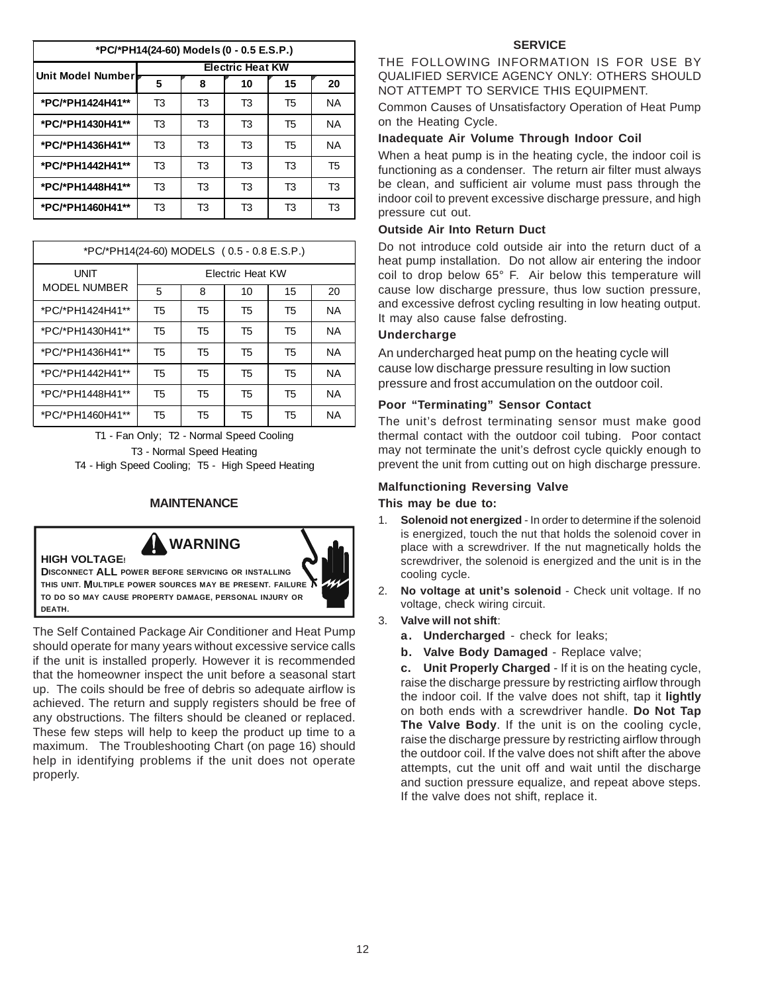| *PC/*PH14(24-60) Models (0 - 0.5 E.S.P.)     |    |                |    |                |                |  |  |  |  |
|----------------------------------------------|----|----------------|----|----------------|----------------|--|--|--|--|
| <b>Electric Heat KW</b><br>Unit Model Number |    |                |    |                |                |  |  |  |  |
|                                              | 5  | 8              | 10 | 15             | 20             |  |  |  |  |
| *PC/*PH1424H41**                             | T3 | T3             | T3 | T5             | <b>NA</b>      |  |  |  |  |
| *PC/*PH1430H41**                             | T3 | T3             | T3 | T5             | <b>NA</b>      |  |  |  |  |
| *PC/*PH1436H41**                             | T3 | T <sub>3</sub> | T3 | T <sub>5</sub> | <b>NA</b>      |  |  |  |  |
| *PC/*PH1442H41**                             | T3 | T <sub>3</sub> | T3 | T3             | T <sub>5</sub> |  |  |  |  |
| *PC/*PH1448H41**                             | T3 | T3             | T3 | T3             | T3             |  |  |  |  |
| *PC/*PH1460H41**                             | T3 | T3             | T3 | T3             | T3             |  |  |  |  |

| *PC/*PH14(24-60) MODELS (0.5 - 0.8 E.S.P.) |                |                  |                |                |           |  |  |  |  |
|--------------------------------------------|----------------|------------------|----------------|----------------|-----------|--|--|--|--|
| <b>UNIT</b>                                |                | Electric Heat KW |                |                |           |  |  |  |  |
| <b>MODEL NUMBER</b>                        | 5              | 8                | 10             | 15             | 20        |  |  |  |  |
| *PC/*PH1424H41**                           | T <sub>5</sub> | T <sub>5</sub>   | T <sub>5</sub> | T <sub>5</sub> | <b>NA</b> |  |  |  |  |
| *PC/*PH1430H41**                           | T <sub>5</sub> | T <sub>5</sub>   | T <sub>5</sub> | T <sub>5</sub> | <b>NA</b> |  |  |  |  |
| *PC/*PH1436H41**                           | T <sub>5</sub> | T <sub>5</sub>   | T <sub>5</sub> | T <sub>5</sub> | <b>NA</b> |  |  |  |  |
| *PC/*PH1442H41**                           | T <sub>5</sub> | T <sub>5</sub>   | T <sub>5</sub> | T <sub>5</sub> | <b>NA</b> |  |  |  |  |
| *PC/*PH1448H41**                           | T <sub>5</sub> | T <sub>5</sub>   | T <sub>5</sub> | T <sub>5</sub> | <b>NA</b> |  |  |  |  |
| *PC/*PH1460H41**                           | T <sub>5</sub> | T5               | T5             | T5             | <b>NA</b> |  |  |  |  |

T4 - High Speed Cooling; T5 - High Speed Heating T1 - Fan Only; T2 - Normal Speed Cooling T3 - Normal Speed Heating

# **MAINTENANCE**

**WARNING**

#### **HIGH VOLTAGE!**

**DISCONNECT ALL POWER BEFORE SERVICING OR INSTALLING THIS UNIT. MULTIPLE POWER SOURCES MAY BE PRESENT. FAILU RE TO DO SO MAY CAUSE PROPERTY DAMAGE, PERSONAL INJURY O R DEATH.**

The Self Contained Package Air Conditioner and Heat Pump should operate for many years without excessive service calls if the unit is installed properly. However it is recommended that the homeowner inspect the unit before a seasonal start up. The coils should be free of debris so adequate airflow is achieved. The return and supply registers should be free of any obstructions. The filters should be cleaned or replaced. These few steps will help to keep the product up time to a maximum. The Troubleshooting Chart (on page 16) should help in identifying problems if the unit does not operate properly.

### **SERVICE**

THE FOLLOWING INFORMATION IS FOR USE BY QUALIFIED SERVICE AGENCY ONLY: OTHERS SHOULD NOT ATTEMPT TO SERVICE THIS EQUIPMENT.

Common Causes of Unsatisfactory Operation of Heat Pump on the Heating Cycle.

# **Inadequate Air Volume Through Indoor Coil**

When a heat pump is in the heating cycle, the indoor coil is functioning as a condenser. The return air filter must always be clean, and sufficient air volume must pass through the indoor coil to prevent excessive discharge pressure, and high pressure cut out.

### **Outside Air Into Return Duct**

Do not introduce cold outside air into the return duct of a heat pump installation. Do not allow air entering the indoor coil to drop below 65° F. Air below this temperature will cause low discharge pressure, thus low suction pressure, and excessive defrost cycling resulting in low heating output. It may also cause false defrosting.

# **Undercharge**

An undercharged heat pump on the heating cycle will cause low discharge pressure resulting in low suction pressure and frost accumulation on the outdoor coil.

# **Poor "Terminating" Sensor Contact**

The unit's defrost terminating sensor must make good thermal contact with the outdoor coil tubing. Poor contact may not terminate the unit's defrost cycle quickly enough to prevent the unit from cutting out on high discharge pressure.

# **Malfunctioning Reversing Valve**

### **This may be due to:**

- 1. **Solenoid not energized** In order to determine if the solenoid is energized, touch the nut that holds the solenoid cover in place with a screwdriver. If the nut magnetically holds the screwdriver, the solenoid is energized and the unit is in the cooling cycle.
- 2. **No voltage at unit's solenoid** Check unit voltage. If no voltage, check wiring circuit.

# 3. **Valve will not shift**:

- **a. Undercharged** check for leaks;
- **b. Valve Body Damaged** Replace valve;

**c. Unit Properly Charged** - If it is on the heating cycle, raise the discharge pressure by restricting airflow through the indoor coil. If the valve does not shift, tap it **lightly** on both ends with a screwdriver handle. **Do Not Tap The Valve Body**. If the unit is on the cooling cycle, raise the discharge pressure by restricting airflow through the outdoor coil. If the valve does not shift after the above attempts, cut the unit off and wait until the discharge and suction pressure equalize, and repeat above steps. If the valve does not shift, replace it.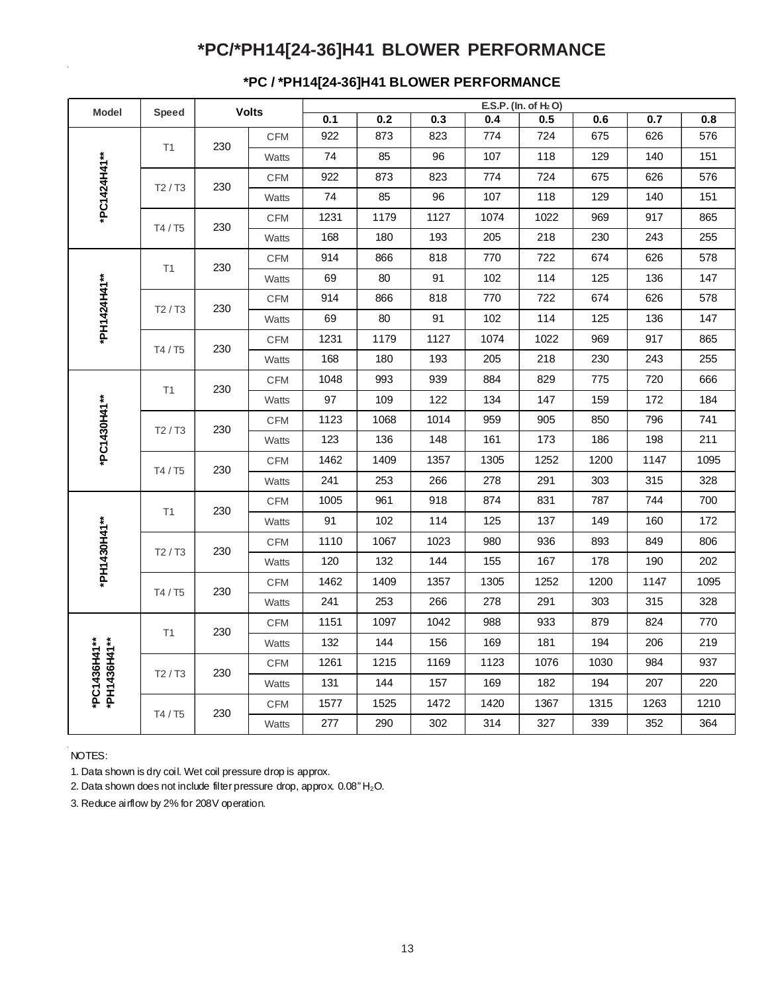# **\*PC/\*PH14[24-36]H41 BLOWER PERFORMANCE**

| <b>Model</b>                 | Speed  |        | <b>Volts</b>          | E.S.P. (In. of H <sub>2</sub> O) |       |      |      |       |      |      |      |     |     |     |     |     |
|------------------------------|--------|--------|-----------------------|----------------------------------|-------|------|------|-------|------|------|------|-----|-----|-----|-----|-----|
|                              |        |        |                       | 0.1                              | 0.2   | 0.3  | 0.4  | 0.5   | 0.6  | 0.7  | 0.8  |     |     |     |     |     |
|                              | T1     | 230    | <b>CFM</b>            | 922                              | 873   | 823  | 774  | 724   | 675  | 626  | 576  |     |     |     |     |     |
|                              |        |        | Watts                 | 74                               | 85    | 96   | 107  | 118   | 129  | 140  | 151  |     |     |     |     |     |
|                              | T2/T3  | 230    | CFM                   | 922                              | 873   | 823  | 774  | 724   | 675  | 626  | 576  |     |     |     |     |     |
| *PC1424H41**                 |        |        | Watts                 | 74                               | 85    | 96   | 107  | 118   | 129  | 140  | 151  |     |     |     |     |     |
|                              | T4/ T5 | 230    | <b>CFM</b>            | 1231                             | 1179  | 1127 | 1074 | 1022  | 969  | 917  | 865  |     |     |     |     |     |
|                              |        |        | Watts                 | 168                              | 180   | 193  | 205  | 218   | 230  | 243  | 255  |     |     |     |     |     |
|                              | T1     | 230    | <b>CFM</b>            | 914                              | 866   | 818  | 770  | 722   | 674  | 626  | 578  |     |     |     |     |     |
|                              |        |        | Watts                 | 69                               | 80    | 91   | 102  | 114   | 125  | 136  | 147  |     |     |     |     |     |
| *РН1424Н4**                  |        | 230    | <b>CFM</b>            | 914                              | 866   | 818  | 770  | 722   | 674  | 626  | 578  |     |     |     |     |     |
|                              | T2/T3  |        | Watts                 | 69                               | 80    | 91   | 102  | 114   | 125  | 136  | 147  |     |     |     |     |     |
|                              |        | 230    | <b>CFM</b>            | 1231                             | 1179  | 1127 | 1074 | 1022  | 969  | 917  | 865  |     |     |     |     |     |
|                              | T4/ T5 |        | Watts                 | 168                              | 180   | 193  | 205  | 218   | 230  | 243  | 255  |     |     |     |     |     |
|                              | T1     | 230    | <b>CFM</b>            | 1048                             | 993   | 939  | 884  | 829   | 775  | 720  | 666  |     |     |     |     |     |
|                              |        |        |                       |                                  | Watts | 97   | 109  | 122   | 134  | 147  | 159  | 172 | 184 |     |     |     |
| *PC1430H41**                 | T2/73  | 230    | <b>CFM</b>            | 1123                             | 1068  | 1014 | 959  | 905   | 850  | 796  | 741  |     |     |     |     |     |
|                              |        |        | Watts                 | 123                              | 136   | 148  | 161  | 173   | 186  | 198  | 211  |     |     |     |     |     |
|                              | T4/T5  | 230    | CFM                   | 1462                             | 1409  | 1357 | 1305 | 1252  | 1200 | 1147 | 1095 |     |     |     |     |     |
|                              |        |        | Watts                 | 241                              | 253   | 266  | 278  | 291   | 303  | 315  | 328  |     |     |     |     |     |
|                              | T1     | 230    | <b>CFM</b>            | 1005                             | 961   | 918  | 874  | 831   | 787  | 744  | 700  |     |     |     |     |     |
|                              |        |        | Watts                 | 91                               | 102   | 114  | 125  | 137   | 149  | 160  | 172  |     |     |     |     |     |
| *PH1430H41**                 | T2/T3  | 230    | <b>CFM</b>            | 1110                             | 1067  | 1023 | 980  | 936   | 893  | 849  | 806  |     |     |     |     |     |
|                              |        |        | Watts                 | 120                              | 132   | 144  | 155  | 167   | 178  | 190  | 202  |     |     |     |     |     |
|                              |        | 230    | <b>CFM</b>            | 1462                             | 1409  | 1357 | 1305 | 1252  | 1200 | 1147 | 1095 |     |     |     |     |     |
|                              | T4/ T5 |        |                       |                                  |       |      |      | Watts | 241  | 253  | 266  | 278 | 291 | 303 | 315 | 328 |
|                              | T1     | 230    | <b>CFM</b>            | 1151                             | 1097  | 1042 | 988  | 933   | 879  | 824  | 770  |     |     |     |     |     |
|                              |        |        | Watts                 | 132                              | 144   | 156  | 169  | 181   | 194  | 206  | 219  |     |     |     |     |     |
| "PH1436H41**<br>*PC1436H41** | T2/T3  | 230    | $\mathsf{CFM}\xspace$ | 1261                             | 1215  | 1169 | 1123 | 1076  | 1030 | 984  | 937  |     |     |     |     |     |
|                              |        |        | Watts                 | 131                              | 144   | 157  | 169  | 182   | 194  | 207  | 220  |     |     |     |     |     |
|                              |        | 230    | <b>CFM</b>            | 1577                             | 1525  | 1472 | 1420 | 1367  | 1315 | 1263 | 1210 |     |     |     |     |     |
|                              |        | T4/ T5 |                       |                                  | Watts | 277  | 290  | 302   | 314  | 327  | 339  | 352 | 364 |     |     |     |

# **\*PC / \*PH14[24-36]H41 BLOWER PERFORMANCE**

NOTES:

1. Data shown is dry coil. Wet coil pressure drop is approx.

2. Data shown does not include filter pressure drop, approx.  $0.08$ " $H<sub>2</sub>O$ .

3. Reduce airflow by 2% for 208V operation.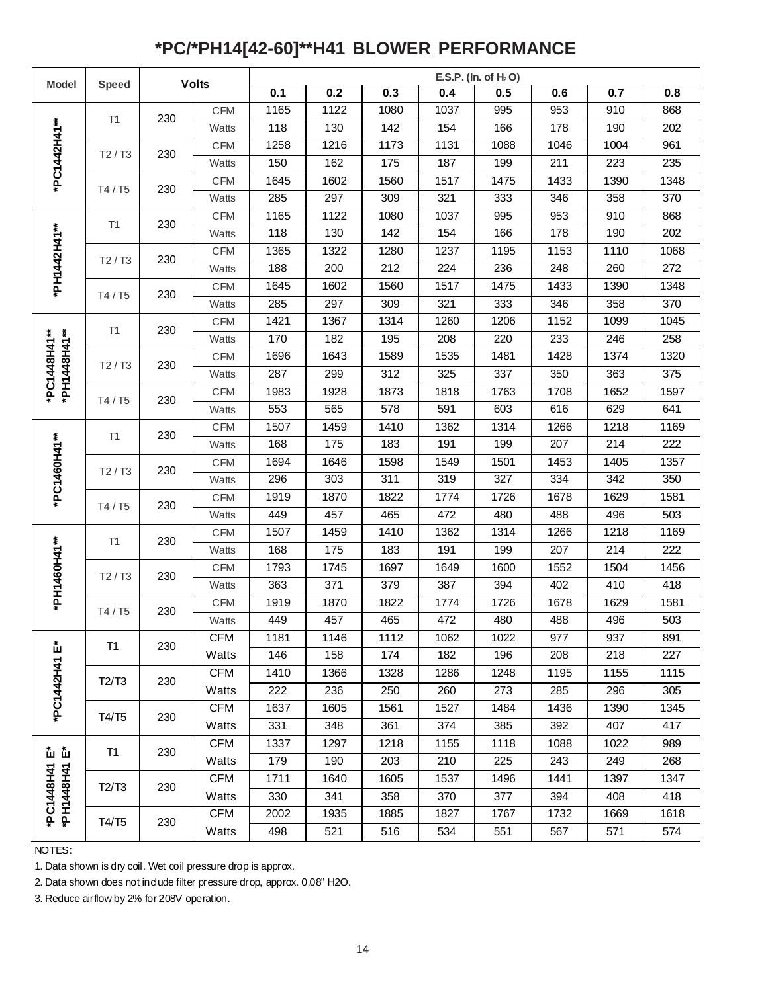# **\*PC/\*PH14[42-60]\*\*H41 BLOWER PERFORMANCE**

| <b>Model</b>                 | <b>Speed</b>   | <b>Volts</b> |            | E.S.P. (In. of $H_2$ O) |      |      |      |      |      |      |      |
|------------------------------|----------------|--------------|------------|-------------------------|------|------|------|------|------|------|------|
|                              |                |              |            | 0.1                     | 0.2  | 0.3  | 0.4  | 0.5  | 0.6  | 0.7  | 0.8  |
| *PC1442H41**                 | T1             | 230          | <b>CFM</b> | 1165                    | 1122 | 1080 | 1037 | 995  | 953  | 910  | 868  |
|                              |                |              | Watts      | 118                     | 130  | 142  | 154  | 166  | 178  | 190  | 202  |
|                              | T2/T3          | 230          | <b>CFM</b> | 1258                    | 1216 | 1173 | 1131 | 1088 | 1046 | 1004 | 961  |
|                              |                |              | Watts      | 150                     | 162  | 175  | 187  | 199  | 211  | 223  | 235  |
|                              | T4/ T5         | 230          | <b>CFM</b> | 1645                    | 1602 | 1560 | 1517 | 1475 | 1433 | 1390 | 1348 |
|                              |                |              | Watts      | 285                     | 297  | 309  | 321  | 333  | 346  | 358  | 370  |
| *РН1442Н4 <sup>**</sup>      | T1             | 230          | <b>CFM</b> | 1165                    | 1122 | 1080 | 1037 | 995  | 953  | 910  | 868  |
|                              |                |              | Watts      | 118                     | 130  | 142  | 154  | 166  | 178  | 190  | 202  |
|                              | T2/ T3         | 230          | <b>CFM</b> | 1365                    | 1322 | 1280 | 1237 | 1195 | 1153 | 1110 | 1068 |
|                              |                |              | Watts      | 188                     | 200  | 212  | 224  | 236  | 248  | 260  | 272  |
|                              | T4/ T5         | 230          | <b>CFM</b> | 1645                    | 1602 | 1560 | 1517 | 1475 | 1433 | 1390 | 1348 |
|                              |                |              | Watts      | 285                     | 297  | 309  | 321  | 333  | 346  | 358  | 370  |
|                              | T1             | 230          | CFM        | 1421                    | 1367 | 1314 | 1260 | 1206 | 1152 | 1099 | 1045 |
|                              |                |              | Watts      | 170                     | 182  | 195  | 208  | 220  | 233  | 246  | 258  |
|                              |                |              | <b>CFM</b> | 1696                    | 1643 | 1589 | 1535 | 1481 | 1428 | 1374 | 1320 |
|                              | T2 / T3        | 230          | Watts      | 287                     | 299  | 312  | 325  | 337  | 350  | 363  | 375  |
| *PC1448H41**<br>*PH1448H41** |                |              | <b>CFM</b> | 1983                    | 1928 | 1873 | 1818 | 1763 | 1708 | 1652 | 1597 |
|                              | T4/ T5         | 230          | Watts      | 553                     | 565  | 578  | 591  | 603  | 616  | 629  | 641  |
| *PC1460H41**                 | T1             | 230          | <b>CFM</b> | 1507                    | 1459 | 1410 | 1362 | 1314 | 1266 | 1218 | 1169 |
|                              |                |              | Watts      | 168                     | 175  | 183  | 191  | 199  | 207  | 214  | 222  |
|                              | T2 / T3        | 230          | CFM        | 1694                    | 1646 | 1598 | 1549 | 1501 | 1453 | 1405 | 1357 |
|                              |                |              | Watts      | 296                     | 303  | 311  | 319  | 327  | 334  | 342  | 350  |
|                              | T4/ T5         | 230          | <b>CFM</b> | 1919                    | 1870 | 1822 | 1774 | 1726 | 1678 | 1629 | 1581 |
|                              |                |              | Watts      | 449                     | 457  | 465  | 472  | 480  | 488  | 496  | 503  |
|                              | T1             | 230          | <b>CFM</b> | 1507                    | 1459 | 1410 | 1362 | 1314 | 1266 | 1218 | 1169 |
| *PH1460H41**                 |                |              | Watts      | 168                     | 175  | 183  | 191  | 199  | 207  | 214  | 222  |
|                              | T2/ T3         | 230          | CFM        | 1793                    | 1745 | 1697 | 1649 | 1600 | 1552 | 1504 | 1456 |
|                              |                |              | Watts      | 363                     | 371  | 379  | 387  | 394  | 402  | 410  | 418  |
|                              | T4/T5          | 230          | <b>CFM</b> | 1919                    | 1870 | 1822 | 1774 | 1726 | 1678 | 1629 | 1581 |
|                              |                |              | Watts      | 449                     | 457  | 465  | 472  | 480  | 488  | 496  | 503  |
|                              | T <sub>1</sub> | 230          | <b>CFM</b> | 1181                    | 1146 | 1112 | 1062 | 1022 | 977  | 937  | 891  |
| PC1442H41 E*                 |                |              | Watts      | 146                     | 158  | 174  | 182  | 196  | 208  | 218  | 227  |
|                              | T2/T3          | 230          | <b>CFM</b> | 1410                    | 1366 | 1328 | 1286 | 1248 | 1195 | 1155 | 1115 |
|                              |                |              | Watts      | 222                     | 236  | 250  | 260  | 273  | 285  | 296  | 305  |
|                              | T4/T5          | 230          | <b>CFM</b> | 1637                    | 1605 | 1561 | 1527 | 1484 | 1436 | 1390 | 1345 |
|                              |                |              | Watts      | 331                     | 348  | 361  | 374  | 385  | 392  | 407  | 417  |
|                              | T <sub>1</sub> | 230          | <b>CFM</b> | 1337                    | 1297 | 1218 | 1155 | 1118 | 1088 | 1022 | 989  |
| ្ណែ ព្                       |                |              | Watts      | 179                     | 190  | 203  | 210  | 225  | 243  | 249  | 268  |
|                              | T2/T3          | 230          | <b>CFM</b> | 1711                    | 1640 | 1605 | 1537 | 1496 | 1441 | 1397 | 1347 |
| *PC1448H41<br>*PL1448H41     |                |              | Watts      | 330                     | 341  | 358  | 370  | 377  | 394  | 408  | 418  |
|                              | T4/T5          | 230          | <b>CFM</b> | 2002                    | 1935 | 1885 | 1827 | 1767 | 1732 | 1669 | 1618 |
|                              |                |              | Watts      | 498                     | 521  | 516  | 534  | 551  | 567  | 571  | 574  |

NOTES:

1. Data shown is dry coil. Wet coil pressure drop is approx.

2. Data shown does not indude filter pressure drop, approx. 0.08" H2O.

3. Reduce airflow by 2% for 208V operation.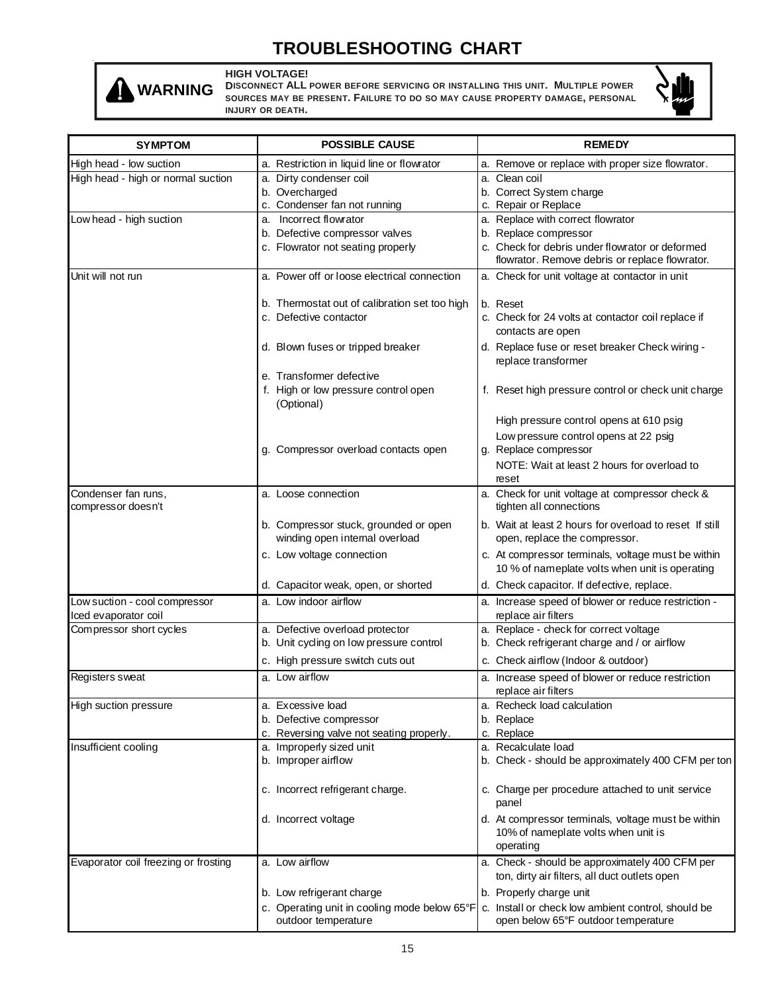# **TROUBLESHOOTING CHART**



**HIGH VOLTAGE! DISCONNECT ALL POWER BEFORE SERVICING OR INSTALLING THIS UNIT. MULTIPLE POWER SOURCES MAY BE PRESENT. FAILURE TO DO SO MAY CAUSE PROPERTY DAMAGE, PERSONAL INJURY OR DEATH.**



| <b>SYMPTOM</b>                       | <b>POSSIBLE CAUSE</b>                                               | <b>REMEDY</b>                                                                                   |  |  |  |
|--------------------------------------|---------------------------------------------------------------------|-------------------------------------------------------------------------------------------------|--|--|--|
| High head - low suction              | a. Restriction in liquid line or flowrator                          | a. Remove or replace with proper size flowrator.                                                |  |  |  |
| High head - high or normal suction   | a. Dirty condenser coil                                             | a. Clean coil                                                                                   |  |  |  |
|                                      | b. Overcharged                                                      | b. Correct System charge                                                                        |  |  |  |
|                                      | c. Condenser fan not running                                        | c. Repair or Replace                                                                            |  |  |  |
| Low head - high suction              | Incorrect flowrator<br>a.                                           | a. Replace with correct flowrator                                                               |  |  |  |
|                                      | b. Defective compressor valves<br>c. Flowrator not seating properly | b. Replace compressor<br>c. Check for debris under flowrator or deformed                        |  |  |  |
|                                      |                                                                     | flowrator. Remove debris or replace flowrator.                                                  |  |  |  |
| Unit will not run                    | a. Power off or loose electrical connection                         | a. Check for unit voltage at contactor in unit                                                  |  |  |  |
|                                      |                                                                     |                                                                                                 |  |  |  |
|                                      | b. Thermostat out of calibration set too high                       | b. Reset                                                                                        |  |  |  |
|                                      | c. Defective contactor                                              | c. Check for 24 volts at contactor coil replace if                                              |  |  |  |
|                                      |                                                                     | contacts are open                                                                               |  |  |  |
|                                      | d. Blown fuses or tripped breaker                                   | d. Replace fuse or reset breaker Check wiring -                                                 |  |  |  |
|                                      |                                                                     | replace transformer                                                                             |  |  |  |
|                                      | e. Transformer defective                                            |                                                                                                 |  |  |  |
|                                      | f. High or low pressure control open                                | f. Reset high pressure control or check unit charge                                             |  |  |  |
|                                      | (Optional)                                                          |                                                                                                 |  |  |  |
|                                      |                                                                     | High pressure control opens at 610 psig                                                         |  |  |  |
|                                      |                                                                     | Low pressure control opens at 22 psig                                                           |  |  |  |
|                                      | Compressor overload contacts open<br>g.                             | g. Replace compressor<br>NOTE: Wait at least 2 hours for overload to                            |  |  |  |
|                                      |                                                                     | reset                                                                                           |  |  |  |
| Condenser fan runs,                  | a. Loose connection                                                 | a. Check for unit voltage at compressor check &                                                 |  |  |  |
| compressor doesn't                   |                                                                     | tighten all connections                                                                         |  |  |  |
|                                      | b. Compressor stuck, grounded or open                               | b. Wait at least 2 hours for overload to reset If still                                         |  |  |  |
|                                      | winding open internal overload                                      | open, replace the compressor.                                                                   |  |  |  |
|                                      | c. Low voltage connection                                           | c. At compressor terminals, voltage must be within                                              |  |  |  |
|                                      |                                                                     | 10 % of nameplate volts when unit is operating                                                  |  |  |  |
|                                      | d. Capacitor weak, open, or shorted                                 | d. Check capacitor. If defective, replace.                                                      |  |  |  |
| Low suction - cool compressor        | a. Low indoor airflow                                               | a. Increase speed of blower or reduce restriction -                                             |  |  |  |
| Iced evaporator coil                 |                                                                     | replace air filters                                                                             |  |  |  |
| Compressor short cycles              | a. Defective overload protector                                     | a. Replace - check for correct voltage                                                          |  |  |  |
|                                      | b. Unit cycling on low pressure control                             | b. Check refrigerant charge and / or airflow                                                    |  |  |  |
|                                      | c. High pressure switch cuts out                                    | c. Check airflow (Indoor & outdoor)                                                             |  |  |  |
| Registers sweat                      | a. Low airflow                                                      | a. Increase speed of blower or reduce restriction                                               |  |  |  |
|                                      |                                                                     | replace air filters                                                                             |  |  |  |
| High suction pressure                | a. Excessive load<br>b. Defective compressor                        | a. Recheck load calculation<br>b. Replace                                                       |  |  |  |
|                                      | c. Reversing valve not seating properly.                            | c. Replace                                                                                      |  |  |  |
| Insufficient cooling                 | a. Improperly sized unit                                            | a. Recalculate load                                                                             |  |  |  |
|                                      | b. Improper airflow                                                 | b. Check - should be approximately 400 CFM per ton                                              |  |  |  |
|                                      |                                                                     |                                                                                                 |  |  |  |
|                                      | c. Incorrect refrigerant charge.                                    | c. Charge per procedure attached to unit service                                                |  |  |  |
|                                      |                                                                     | panel                                                                                           |  |  |  |
|                                      | d. Incorrect voltage                                                | d. At compressor terminals, voltage must be within                                              |  |  |  |
|                                      |                                                                     | 10% of nameplate volts when unit is                                                             |  |  |  |
|                                      |                                                                     | operating                                                                                       |  |  |  |
| Evaporator coil freezing or frosting | a. Low airflow                                                      | a. Check - should be approximately 400 CFM per<br>ton, dirty air filters, all duct outlets open |  |  |  |
|                                      |                                                                     |                                                                                                 |  |  |  |
|                                      | b. Low refrigerant charge                                           | b. Properly charge unit<br>c. Install or check low ambient control, should be                   |  |  |  |
|                                      | c. Operating unit in cooling mode below 65°F<br>outdoor temperature | open below 65°F outdoor temperature                                                             |  |  |  |
|                                      |                                                                     |                                                                                                 |  |  |  |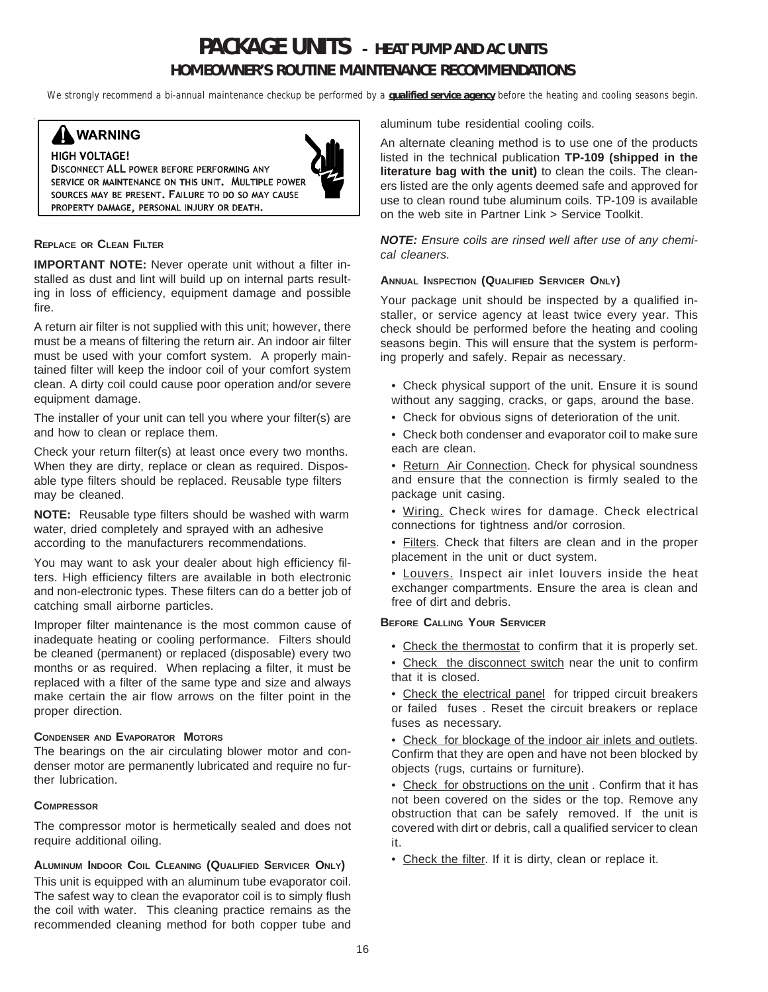# **PACKAGE UNITS - HEAT PUMP AND AC UNITS HOMEOWNER'S ROUTINE MAINTENANCE RECOMMENDATIONS**

We strongly recommend a bi-annual maintenance checkup be performed by a **qualified service agency** before the heating and cooling seasons begin.

# **A** WARNING



**HIGH VOLTAGE! DISCONNECT ALL POWER BEFORE PERFORMING ANY** SERVICE OR MAINTENANCE ON THIS UNIT. MULTIPLE POWER SOURCES MAY BE PRESENT. FAILURE TO DO SO MAY CAUSE PROPERTY DAMAGE, PERSONAL INJURY OR DEATH.

#### **REPLACE OR CLEAN FILTER**

**IMPORTANT NOTE:** Never operate unit without a filter installed as dust and lint will build up on internal parts resulting in loss of efficiency, equipment damage and possible fire.

A return air filter is not supplied with this unit; however, there must be a means of filtering the return air. An indoor air filter must be used with your comfort system. A properly maintained filter will keep the indoor coil of your comfort system clean. A dirty coil could cause poor operation and/or severe equipment damage.

The installer of your unit can tell you where your filter(s) are and how to clean or replace them.

Check your return filter(s) at least once every two months. When they are dirty, replace or clean as required. Disposable type filters should be replaced. Reusable type filters may be cleaned.

**NOTE:** Reusable type filters should be washed with warm water, dried completely and sprayed with an adhesive according to the manufacturers recommendations.

You may want to ask your dealer about high efficiency filters. High efficiency filters are available in both electronic and non-electronic types. These filters can do a better job of catching small airborne particles.

Improper filter maintenance is the most common cause of inadequate heating or cooling performance. Filters should be cleaned (permanent) or replaced (disposable) every two months or as required. When replacing a filter, it must be replaced with a filter of the same type and size and always make certain the air flow arrows on the filter point in the proper direction.

#### **CONDENSER AND EVAPORATOR MOTORS**

The bearings on the air circulating blower motor and condenser motor are permanently lubricated and require no further lubrication.

#### **COMPRESSOR**

The compressor motor is hermetically sealed and does not require additional oiling.

#### **ALUMINUM INDOOR COIL CLEANING (QUALIFIED SERVICER ONLY)**

This unit is equipped with an aluminum tube evaporator coil. The safest way to clean the evaporator coil is to simply flush the coil with water. This cleaning practice remains as the recommended cleaning method for both copper tube and aluminum tube residential cooling coils.

An alternate cleaning method is to use one of the products listed in the technical publication **TP-109 (shipped in the literature bag with the unit)** to clean the coils. The cleaners listed are the only agents deemed safe and approved for use to clean round tube aluminum coils. TP-109 is available on the web site in Partner Link > Service Toolkit.

#### *NOTE: Ensure coils are rinsed well after use of any chemical cleaners.*

#### **ANNUAL INSPECTION (QUALIFIED SERVICER ONLY)**

Your package unit should be inspected by a qualified installer, or service agency at least twice every year. This check should be performed before the heating and cooling seasons begin. This will ensure that the system is performing properly and safely. Repair as necessary.

- Check physical support of the unit. Ensure it is sound without any sagging, cracks, or gaps, around the base.
- Check for obvious signs of deterioration of the unit.
- Check both condenser and evaporator coil to make sure each are clean.

• Return Air Connection. Check for physical soundness and ensure that the connection is firmly sealed to the package unit casing.

- Wiring. Check wires for damage. Check electrical connections for tightness and/or corrosion.
- Filters. Check that filters are clean and in the proper placement in the unit or duct system.
- Louvers. Inspect air inlet louvers inside the heat exchanger compartments. Ensure the area is clean and free of dirt and debris.

#### **BEFORE CALLING YOUR SERVICER**

- Check the thermostat to confirm that it is properly set.
- Check the disconnect switch near the unit to confirm that it is closed.

• Check the electrical panel for tripped circuit breakers or failed fuses . Reset the circuit breakers or replace fuses as necessary.

• Check for blockage of the indoor air inlets and outlets. Confirm that they are open and have not been blocked by objects (rugs, curtains or furniture).

• Check for obstructions on the unit . Confirm that it has not been covered on the sides or the top. Remove any obstruction that can be safely removed. If the unit is covered with dirt or debris, call a qualified servicer to clean it.

• Check the filter. If it is dirty, clean or replace it.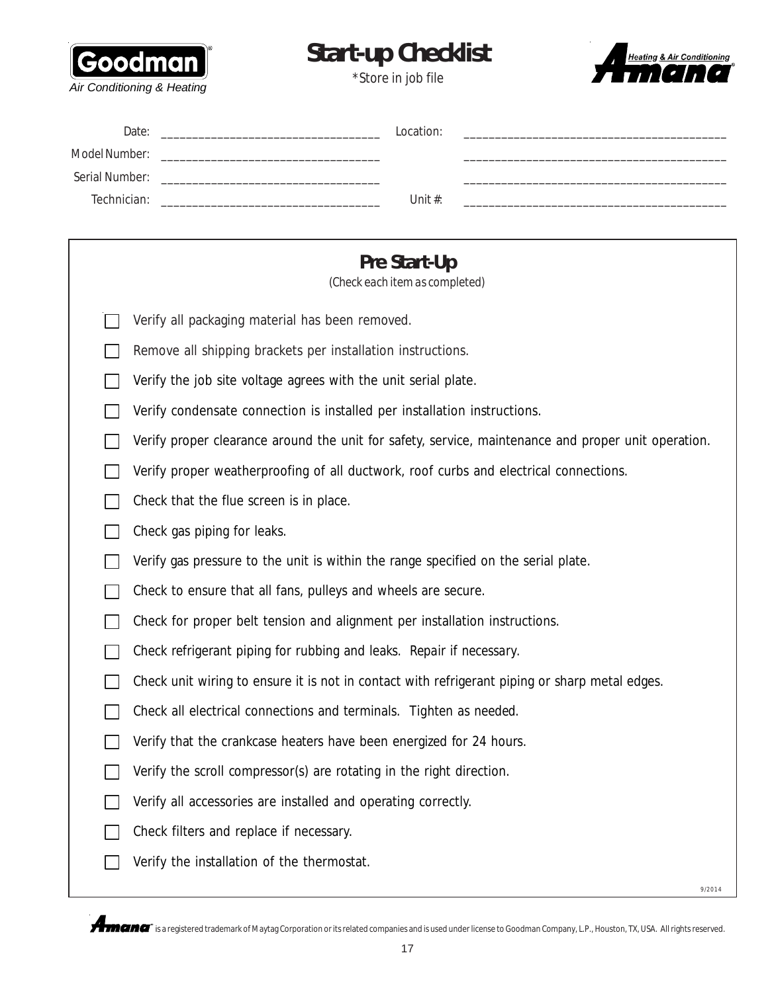# **Start-up Checklist**



*\*Store in job file*



| Date:          | Location:  |  |
|----------------|------------|--|
| Model Number:  |            |  |
| Serial Number: |            |  |
| Technician:    | Unit $#$ : |  |

# **Pre Start-Up**

*(Check each item as completed)*

- Verify all packaging material has been removed.
- Remove all shipping brackets per installation instructions.
- Verify the job site voltage agrees with the unit serial plate.
- Verify condensate connection is installed per installation instructions.
- Verify proper clearance around the unit for safety, service, maintenance and proper unit operation.
- Verify proper weatherproofing of all ductwork, roof curbs and electrical connections.
- Check that the flue screen is in place.
- Check gas piping for leaks.
- Verify gas pressure to the unit is within the range specified on the serial plate.
- Check to ensure that all fans, pulleys and wheels are secure.
- Check for proper belt tension and alignment per installation instructions.
- Check refrigerant piping for rubbing and leaks. *Repair if necessary.*
- Check unit wiring to ensure it is not in contact with refrigerant piping or sharp metal edges.
- Check all electrical connections and terminals. *Tighten as needed.*
- Verify that the crankcase heaters have been energized for 24 hours.
- Verify the scroll compressor(s) are rotating in the right direction.
- Verify all accessories are installed and operating correctly.
- Check filters and replace if necessary.
- Verify the installation of the thermostat.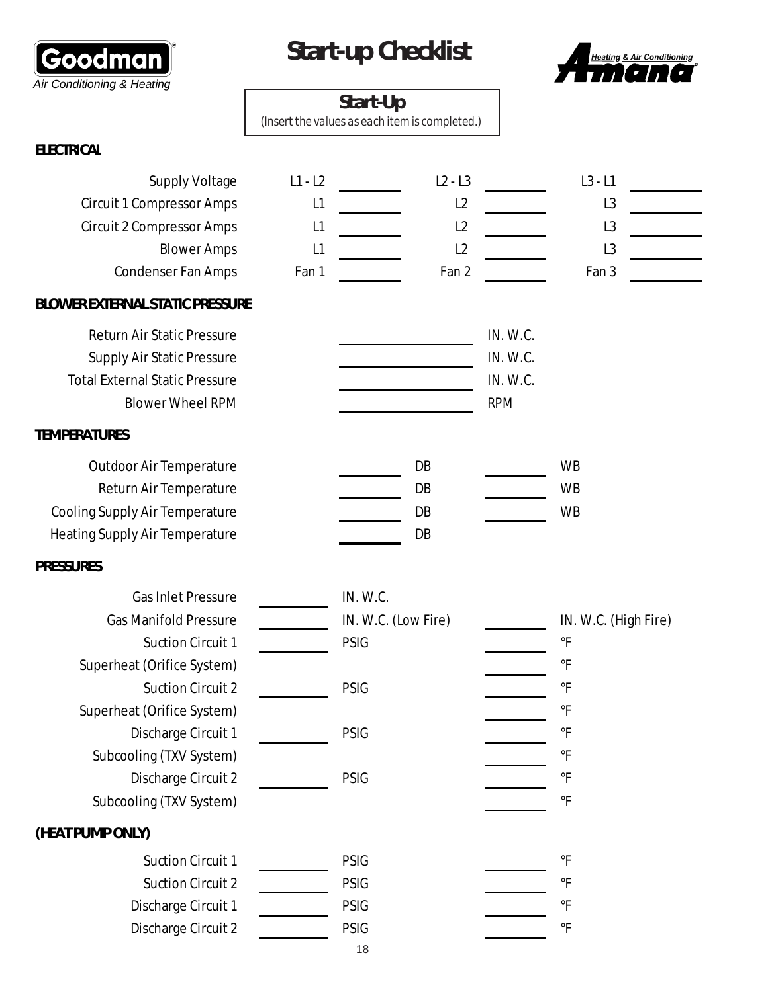

# **Start-up Checklist**



# **Start-Up**

*(Insert the values as each item is completed.)*

| <b>ELECTRICAL</b>                      |           |                     |            |                      |
|----------------------------------------|-----------|---------------------|------------|----------------------|
| Supply Voltage                         | $L1 - L2$ | $L2 - L3$           |            | $L3 - L1$            |
| <b>Circuit 1 Compressor Amps</b>       | L1        | L2                  |            | L <sub>3</sub>       |
| <b>Circuit 2 Compressor Amps</b>       | L1        | L2                  |            | L <sub>3</sub>       |
| <b>Blower Amps</b>                     | L1        | L2                  |            | L <sub>3</sub>       |
| Condenser Fan Amps                     | Fan 1     | Fan 2               |            | Fan 3                |
| <b>BLOWER EXTERNAL STATIC PRESSURE</b> |           |                     |            |                      |
| <b>Return Air Static Pressure</b>      |           |                     | IN. W.C.   |                      |
| <b>Supply Air Static Pressure</b>      |           |                     | IN. W.C.   |                      |
| <b>Total External Static Pressure</b>  |           |                     | IN. W.C.   |                      |
| <b>Blower Wheel RPM</b>                |           |                     | <b>RPM</b> |                      |
| <b>TEMPERATURES</b>                    |           |                     |            |                      |
| Outdoor Air Temperature                |           | DB                  |            | <b>WB</b>            |
| Return Air Temperature                 |           | DB                  |            | <b>WB</b>            |
| Cooling Supply Air Temperature         |           | DB                  |            | <b>WB</b>            |
| <b>Heating Supply Air Temperature</b>  |           | DB                  |            |                      |
| <b>PRESSURES</b>                       |           |                     |            |                      |
| <b>Gas Inlet Pressure</b>              |           | IN. W.C.            |            |                      |
| <b>Gas Manifold Pressure</b>           |           | IN. W.C. (Low Fire) |            | IN. W.C. (High Fire) |
| <b>Suction Circuit 1</b>               |           | <b>PSIG</b>         |            | $\circ$ F            |
| Superheat (Orifice System)             |           |                     |            | $\circ$ F            |
| <b>Suction Circuit 2</b>               |           | <b>PSIG</b>         |            | $\mathsf{P}$         |
| Superheat (Orifice System)             |           |                     |            | $^\circ \mathsf{F}$  |
| Discharge Circuit 1                    |           | <b>PSIG</b>         |            | $\circ$ F            |
| Subcooling (TXV System)                |           |                     |            | $\circ$ F            |
| Discharge Circuit 2                    |           | <b>PSIG</b>         |            | $^\circ \mathsf{F}$  |
| Subcooling (TXV System)                |           |                     |            | $\circ$ F            |
| (HEAT PUMP ONLY)                       |           |                     |            |                      |
| <b>Suction Circuit 1</b>               |           | <b>PSIG</b>         |            | $\circ$ F            |
| <b>Suction Circuit 2</b>               |           | <b>PSIG</b>         |            | $\circ$ F            |
| Discharge Circuit 1                    |           | <b>PSIG</b>         |            | $\circ$ F            |
| Discharge Circuit 2                    |           | <b>PSIG</b>         |            | $\circ$ F            |
|                                        |           | 18                  |            |                      |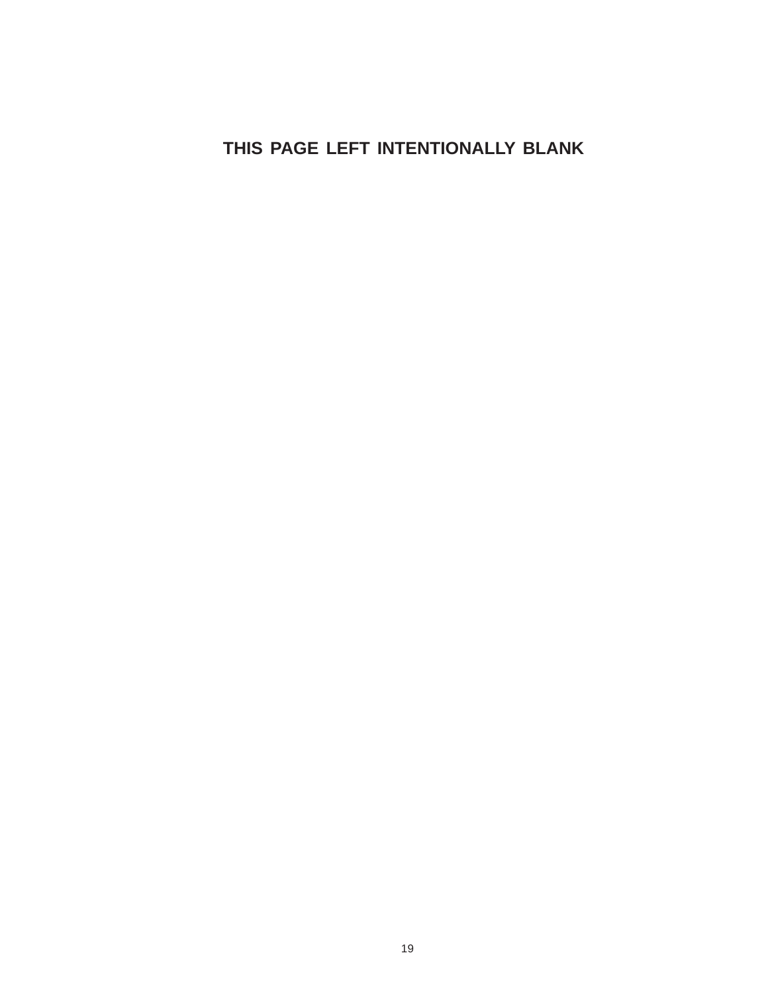# **THIS PAGE LEFT INTENTIONALLY BLANK**